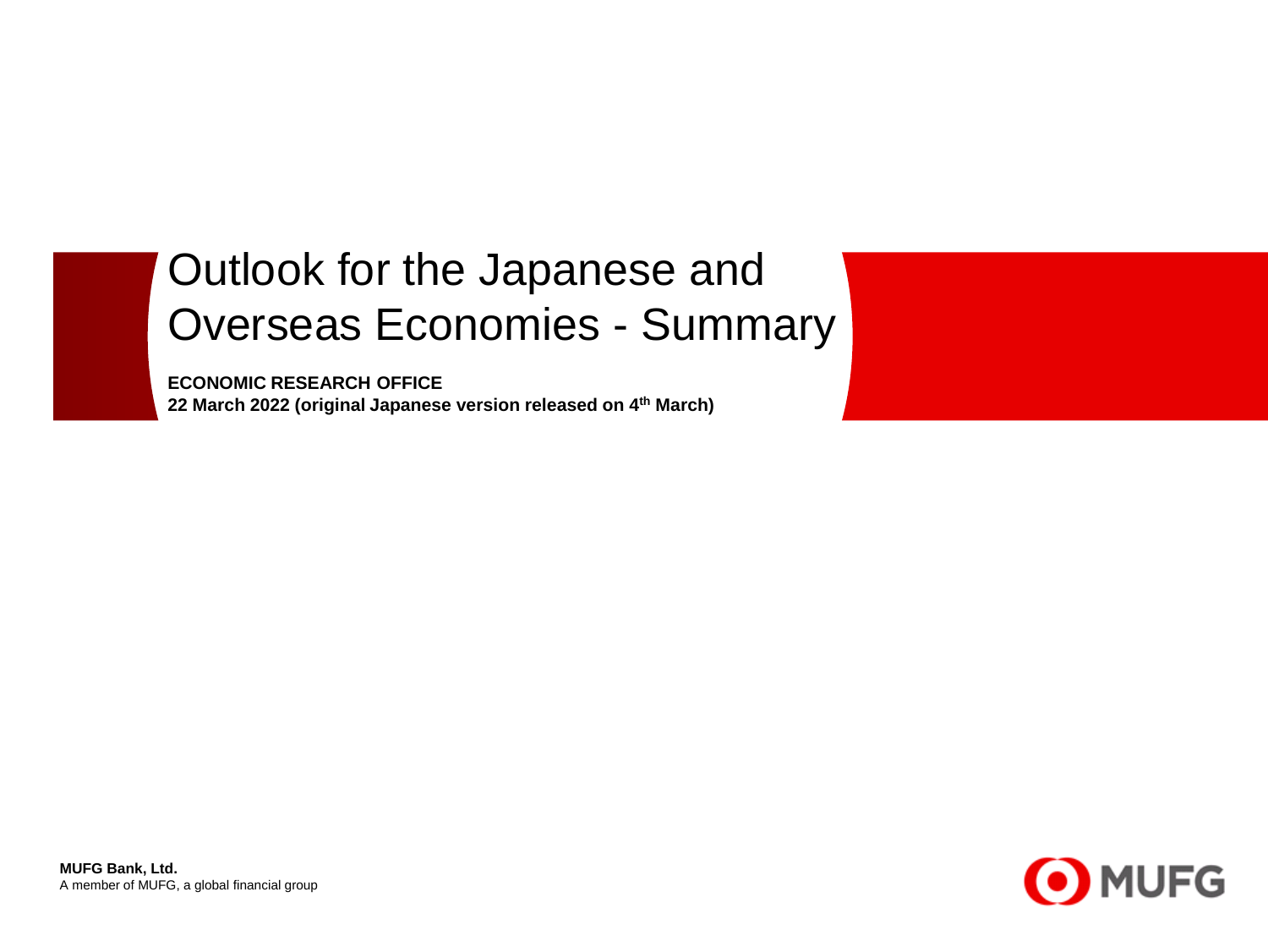# Outlook for the Japanese and Overseas Economies - Summary

**ECONOMIC RESEARCH OFFICE 22 March 2022 (original Japanese version released on 4th March)**

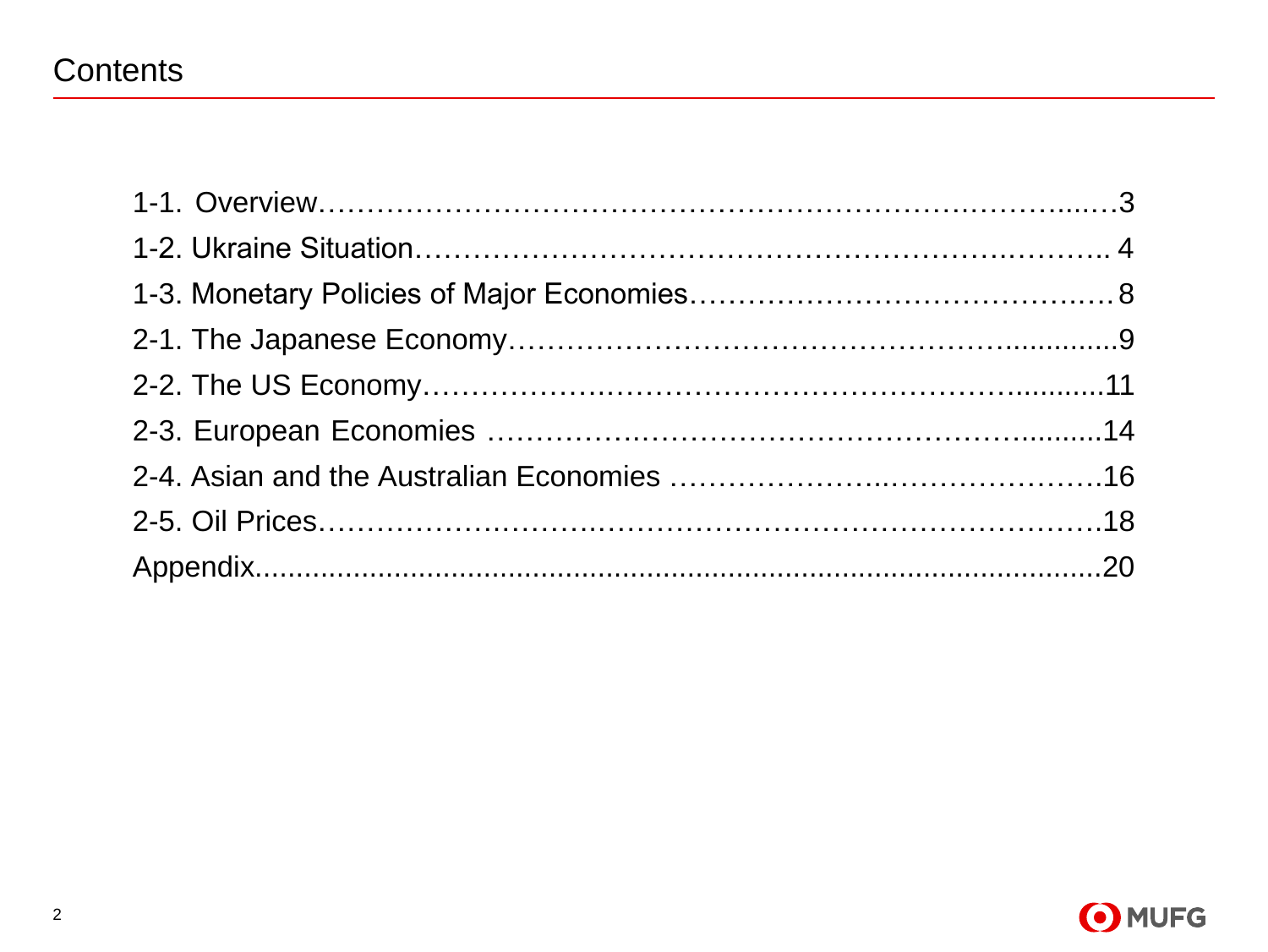### **Contents**

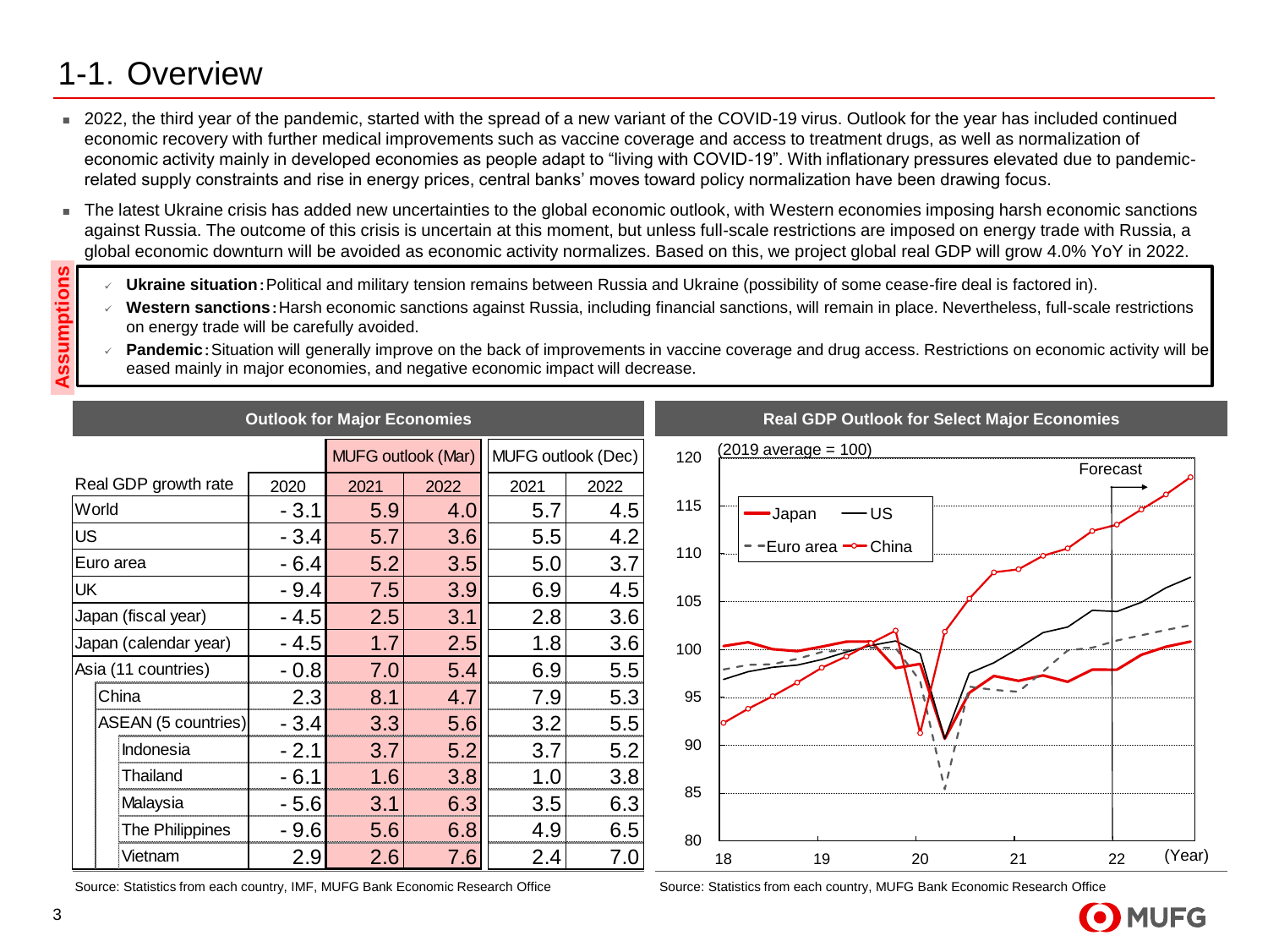### 1-1.Overview

- 2022, the third year of the pandemic, started with the spread of a new variant of the COVID-19 virus. Outlook for the year has included continued economic recovery with further medical improvements such as vaccine coverage and access to treatment drugs, as well as normalization of economic activity mainly in developed economies as people adapt to "living with COVID-19". With inflationary pressures elevated due to pandemicrelated supply constraints and rise in energy prices, central banks' moves toward policy normalization have been drawing focus.
- The latest Ukraine crisis has added new uncertainties to the global economic outlook, with Western economies imposing harsh economic sanctions against Russia. The outcome of this crisis is uncertain at this moment, but unless full-scale restrictions are imposed on energy trade with Russia, a global economic downturn will be avoided as economic activity normalizes. Based on this, we project global real GDP will grow 4.0% YoY in 2022.
	- **Ukraine situation**: Political and military tension remains between Russia and Ukraine (possibility of some cease-fire deal is factored in).
	- Western sanctions: Harsh economic sanctions against Russia, including financial sanctions, will remain in place. Nevertheless, full-scale restrictions on energy trade will be carefully avoided.
	- **Pandemic**: Situation will generally improve on the back of improvements in vaccine coverage and drug access. Restrictions on economic activity will be eased mainly in major economies, and negative economic impact will decrease.

|           |                       |        | <b>Outlook for Major Economies</b> |      |                    |      |     |    | <b>Real GDP Outlook for Select Major Economies</b> |    |    |          |        |
|-----------|-----------------------|--------|------------------------------------|------|--------------------|------|-----|----|----------------------------------------------------|----|----|----------|--------|
|           |                       |        | MUFG outlook (Mar)                 |      | MUFG outlook (Dec) |      | 120 |    | $(2019 \text{ average} = 100)$                     |    |    | Forecast |        |
|           | Real GDP growth rate  | 2020   | 2021                               | 2022 | 2021               | 2022 |     |    |                                                    |    |    |          |        |
| World     |                       | $-3.1$ | 5.9                                | 4.0  | 5.7                | 4.5  | 115 |    | -us<br>-Japan                                      |    |    |          |        |
| <b>US</b> |                       | $-3.4$ | 5.7                                | 3.6  | 5.5                | 4.2  |     |    | -Euro area <sup>⊸</sup> -China                     |    |    |          |        |
|           | Euro area             | $-6.4$ | 5.2                                | 3.5  | 5.0                | 3.7  | 110 |    |                                                    |    |    |          |        |
| <b>UK</b> |                       | $-9.4$ | 7.5                                | 3.9  | 6.9                | 4.5  | 105 |    |                                                    |    |    |          |        |
|           | Japan (fiscal year)   | $-4.5$ | 2.5                                | 3.1  | 2.8                | 3.6  |     |    |                                                    |    |    |          |        |
|           | Japan (calendar year) | $-4.5$ | 1.7                                | 2.5  | 1.8                | 3.6  | 100 |    |                                                    |    |    |          |        |
|           | Asia (11 countries)   | $-0.8$ | 7.0                                | 5.4  | 6.9                | 5.5  |     |    |                                                    |    |    |          |        |
|           | China                 | 2.3    | 8.1                                | 4.7  | 7.9                | 5.3  | 95  |    |                                                    |    |    |          |        |
|           | ASEAN (5 countries)   | $-3.4$ | 3.3                                | 5.6  | 3.2                | 5.5  |     |    |                                                    |    |    |          |        |
|           | Indonesia             | $-2.1$ | 3.7                                | 5.2  | 3.7                | 5.2  | 90  |    |                                                    |    |    |          |        |
|           | Thailand              | $-6.1$ | 1.6                                | 3.8  | 1.0                | 3.8  |     |    |                                                    |    |    |          |        |
|           | Malaysia              | $-5.6$ | 3.1                                | 6.3  | 3.5                | 6.3  | 85  |    |                                                    |    |    |          |        |
|           | The Philippines       | $-9.6$ | 5.6                                | 6.8  | 4.9                | 6.5  | 80  |    |                                                    |    |    |          |        |
|           | Vietnam               | 2.9    | 2.6                                | 7.6  | 2.4                | 7.0  |     | 18 | 19                                                 | 20 | 21 | 22       | (Year) |

Source: Statistics from each country, IMF, MUFG Bank Economic Research Office

Source: Statistics from each country, MUFG Bank Economic Research Office



**Assumptions**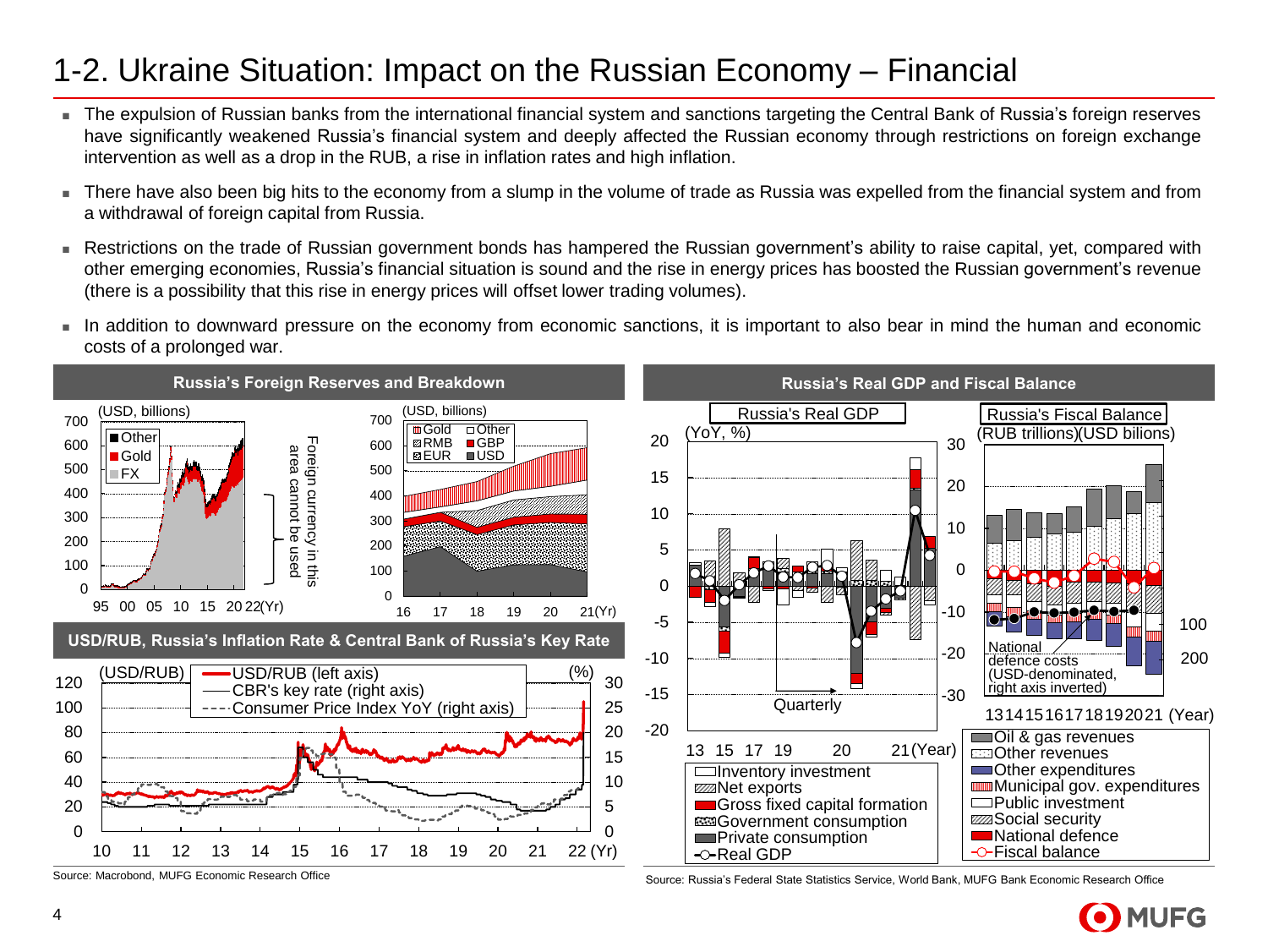#### 1-2. Ukraine Situation: Impact on the Russian Economy – Financial

- The expulsion of Russian banks from the international financial system and sanctions targeting the Central Bank of Russia's foreign reserves have significantly weakened Russia's financial system and deeply affected the Russian economy through restrictions on foreign exchange intervention as well as a drop in the RUB, a rise in inflation rates and high inflation.
- There have also been big hits to the economy from a slump in the volume of trade as Russia was expelled from the financial system and from a withdrawal of foreign capital from Russia.
- Restrictions on the trade of Russian government bonds has hampered the Russian government's ability to raise capital, yet, compared with other emerging economies, Russia's financial situation is sound and the rise in energy prices has boosted the Russian government's revenue (there is a possibility that this rise in energy prices will offset lower trading volumes).
- In addition to downward pressure on the economy from economic sanctions, it is important to also bear in mind the human and economic costs of a prolonged war.



Source: Macrobond, MUFG Economic Research Office Source: Russia's Federal State Statistics Service, World Bank, MUFG Bank Economic Research Office

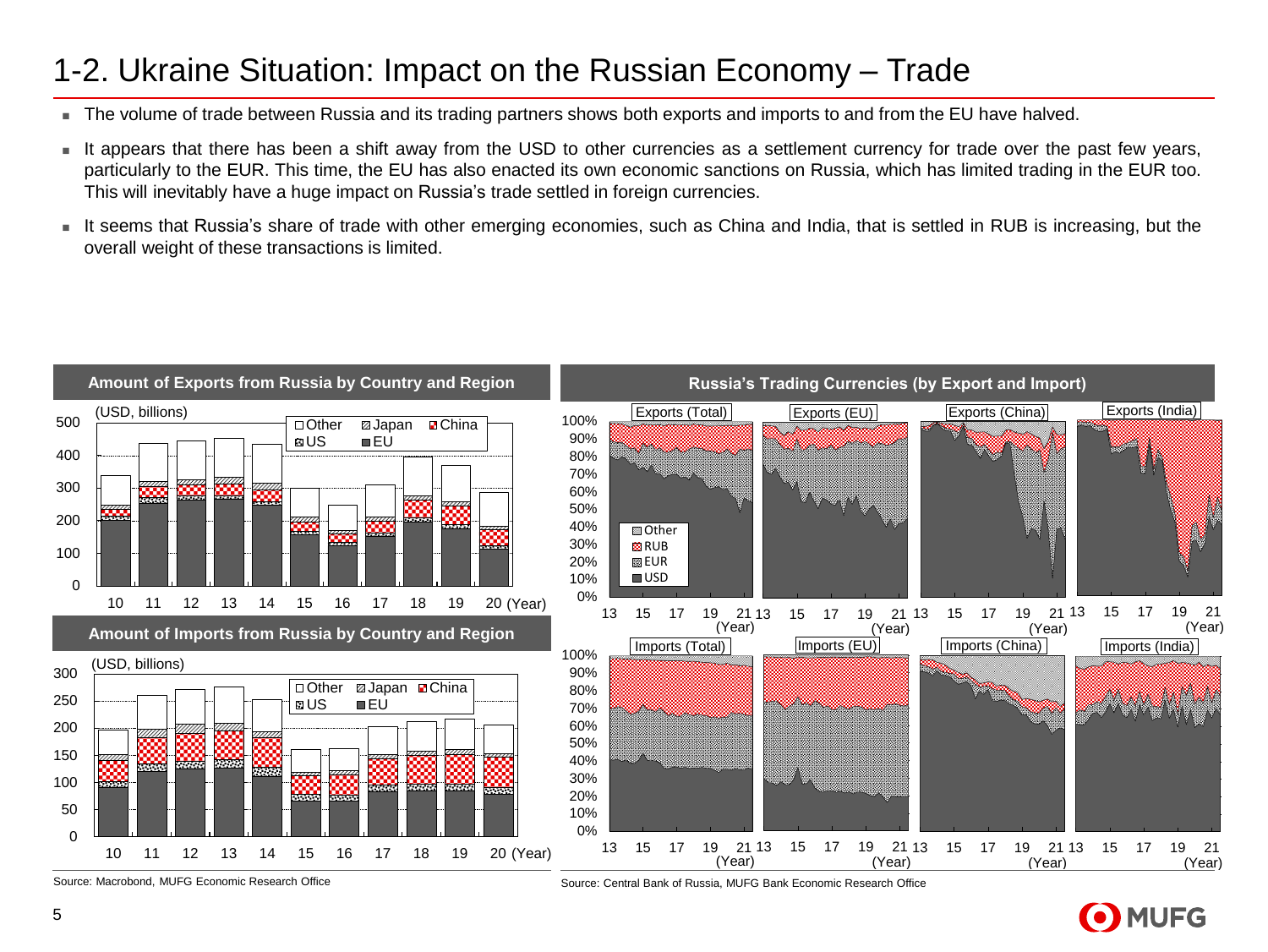#### 1-2. Ukraine Situation: Impact on the Russian Economy – Trade

- The volume of trade between Russia and its trading partners shows both exports and imports to and from the EU have halved.
- It appears that there has been a shift away from the USD to other currencies as a settlement currency for trade over the past few vears, particularly to the EUR. This time, the EU has also enacted its own economic sanctions on Russia, which has limited trading in the EUR too. This will inevitably have a huge impact on Russia's trade settled in foreign currencies.
- It seems that Russia's share of trade with other emerging economies, such as China and India, that is settled in RUB is increasing, but the overall weight of these transactions is limited.



Source: Macrobond, MUFG Economic Research Office Source: Central Bank of Russia, MUFG Bank Economic Research Office

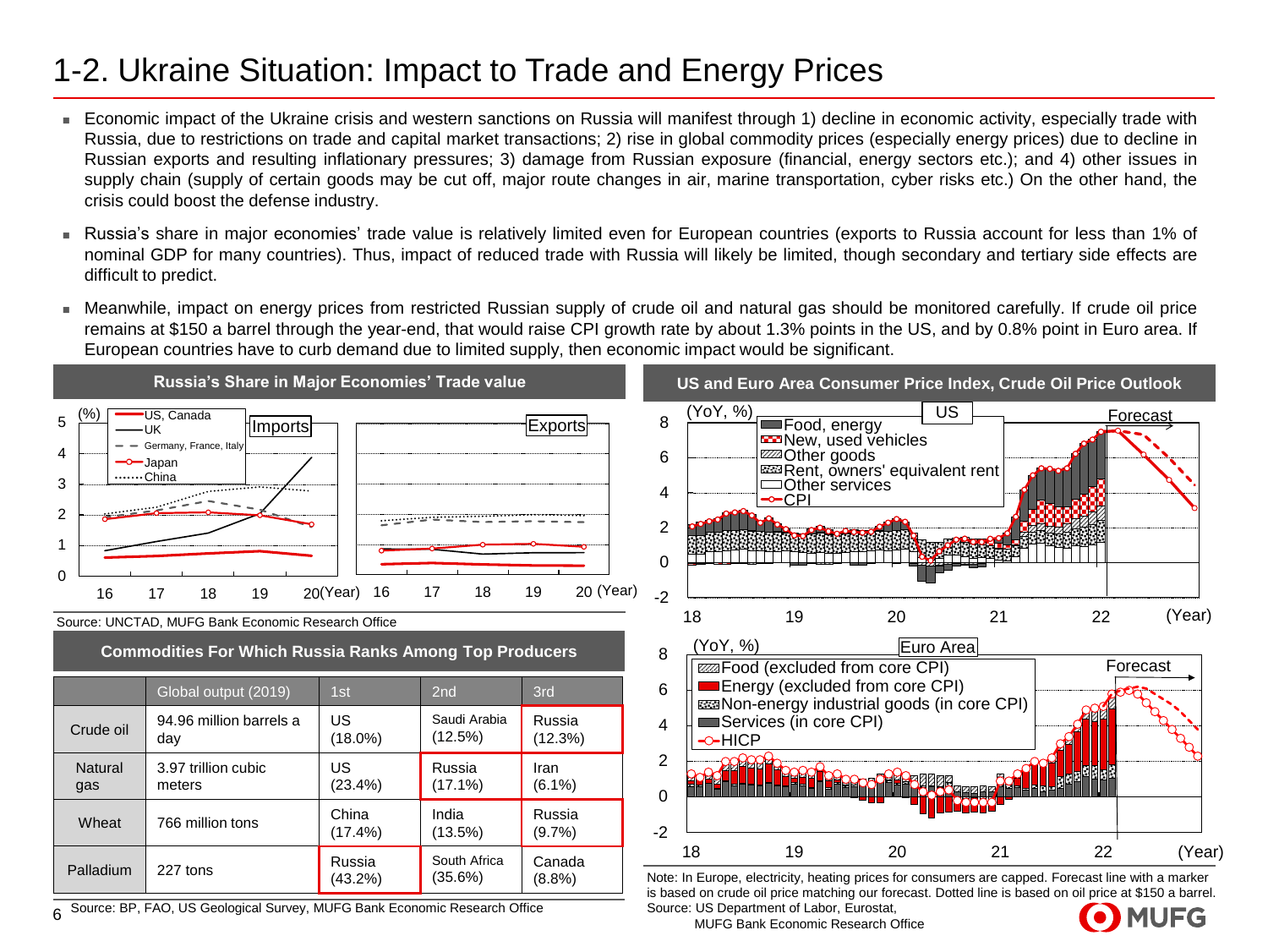### 1-2. Ukraine Situation: Impact to Trade and Energy Prices

- Economic impact of the Ukraine crisis and western sanctions on Russia will manifest through 1) decline in economic activity, especially trade with Russia, due to restrictions on trade and capital market transactions; 2) rise in global commodity prices (especially energy prices) due to decline in Russian exports and resulting inflationary pressures; 3) damage from Russian exposure (financial, energy sectors etc.); and 4) other issues in supply chain (supply of certain goods may be cut off, major route changes in air, marine transportation, cyber risks etc.) On the other hand, the crisis could boost the defense industry.
- <sup>◼</sup> Russia's share in major economies' trade value is relatively limited even for European countries (exports to Russia account for less than 1% of nominal GDP for many countries). Thus, impact of reduced trade with Russia will likely be limited, though secondary and tertiary side effects are difficult to predict.
- Meanwhile, impact on energy prices from restricted Russian supply of crude oil and natural gas should be monitored carefully. If crude oil price remains at \$150 a barrel through the year-end, that would raise CPI growth rate by about 1.3% points in the US, and by 0.8% point in Euro area. If European countries have to curb demand due to limited supply, then economic impact would be significant.



MUFG Bank Economic Research Office

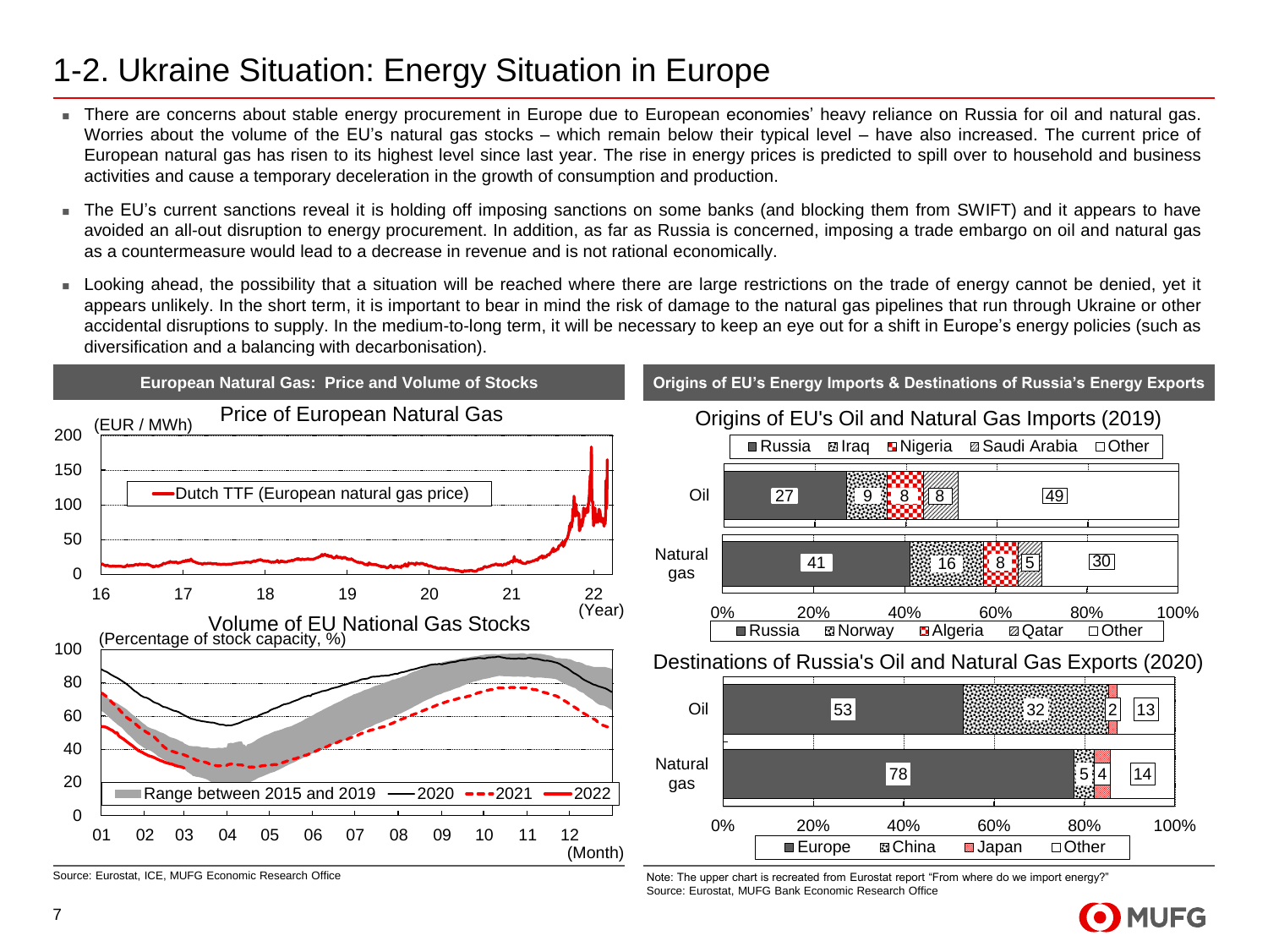#### 1-2. Ukraine Situation: Energy Situation in Europe

- There are concerns about stable energy procurement in Europe due to European economies' heavy reliance on Russia for oil and natural gas. Worries about the volume of the EU's natural gas stocks – which remain below their typical level – have also increased. The current price of European natural gas has risen to its highest level since last year. The rise in energy prices is predicted to spill over to household and business activities and cause a temporary deceleration in the growth of consumption and production.
- The EU's current sanctions reveal it is holding off imposing sanctions on some banks (and blocking them from SWIFT) and it appears to have avoided an all-out disruption to energy procurement. In addition, as far as Russia is concerned, imposing a trade embargo on oil and natural gas as a countermeasure would lead to a decrease in revenue and is not rational economically.
- Looking ahead, the possibility that a situation will be reached where there are large restrictions on the trade of energy cannot be denied, yet it appears unlikely. In the short term, it is important to bear in mind the risk of damage to the natural gas pipelines that run through Ukraine or other accidental disruptions to supply. In the medium-to-long term, it will be necessary to keep an eye out for a shift in Europe's energy policies (such as diversification and a balancing with decarbonisation).



Source: Eurostat, ICE, MUFG Economic Research Office Note: Note: The upper chart is recreated from Eurostat report "From where do we import energy?" Source: Eurostat, MUFG Bank Economic Research Office

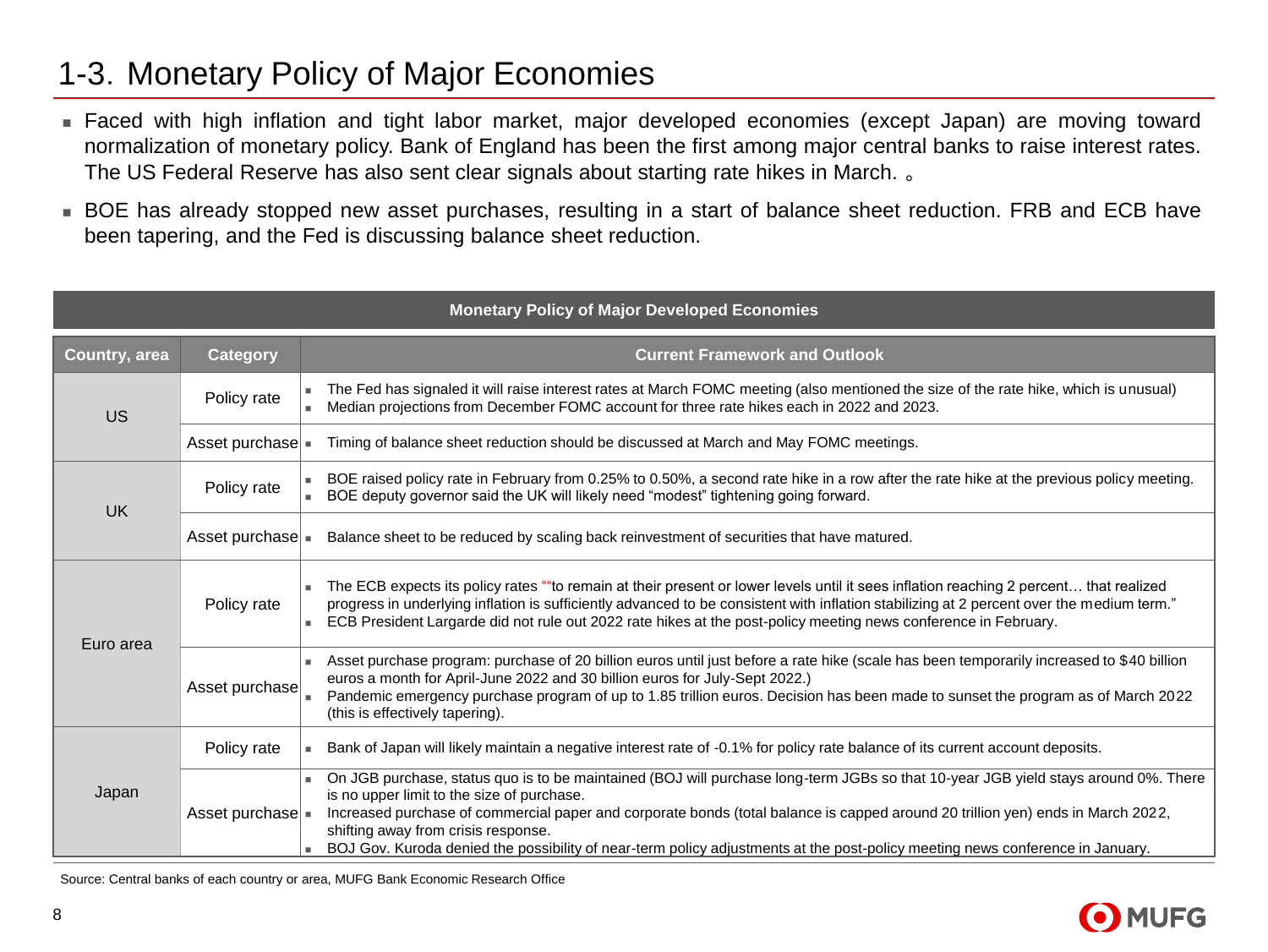### 1-3.Monetary Policy of Major Economies

- Faced with high inflation and tight labor market, major developed economies (except Japan) are moving toward normalization of monetary policy. Bank of England has been the first among major central banks to raise interest rates. The US Federal Reserve has also sent clear signals about starting rate hikes in March. 。
- BOE has already stopped new asset purchases, resulting in a start of balance sheet reduction. FRB and ECB have been tapering, and the Fed is discussing balance sheet reduction.

|               |                        | <b>Monetary Policy of Major Developed Economies</b>                                                                                                                                                                                                                                                                                                                                                                                                                                         |
|---------------|------------------------|---------------------------------------------------------------------------------------------------------------------------------------------------------------------------------------------------------------------------------------------------------------------------------------------------------------------------------------------------------------------------------------------------------------------------------------------------------------------------------------------|
| Country, area | <b>Category</b>        | <b>Current Framework and Outlook</b>                                                                                                                                                                                                                                                                                                                                                                                                                                                        |
| <b>US</b>     | Policy rate            | The Fed has signaled it will raise interest rates at March FOMC meeting (also mentioned the size of the rate hike, which is unusual)<br>Median projections from December FOMC account for three rate hikes each in 2022 and 2023.                                                                                                                                                                                                                                                           |
|               | Asset purchase =       | Timing of balance sheet reduction should be discussed at March and May FOMC meetings.                                                                                                                                                                                                                                                                                                                                                                                                       |
| <b>UK</b>     | Policy rate            | BOE raised policy rate in February from 0.25% to 0.50%, a second rate hike in a row after the rate hike at the previous policy meeting.<br>BOE deputy governor said the UK will likely need "modest" tightening going forward.                                                                                                                                                                                                                                                              |
|               | Asset purchase =       | Balance sheet to be reduced by scaling back reinvestment of securities that have matured.                                                                                                                                                                                                                                                                                                                                                                                                   |
| Euro area     | Policy rate            | The ECB expects its policy rates ""to remain at their present or lower levels until it sees inflation reaching 2 percent that realized<br>progress in underlying inflation is sufficiently advanced to be consistent with inflation stabilizing at 2 percent over the medium term."<br>ECB President Largarde did not rule out 2022 rate hikes at the post-policy meeting news conference in February.                                                                                      |
|               | Asset purchase         | Asset purchase program: purchase of 20 billion euros until just before a rate hike (scale has been temporarily increased to \$40 billion<br>euros a month for April-June 2022 and 30 billion euros for July-Sept 2022.)<br>Pandemic emergency purchase program of up to 1.85 trillion euros. Decision has been made to sunset the program as of March 2022<br>(this is effectively tapering).                                                                                               |
|               | Policy rate            | Bank of Japan will likely maintain a negative interest rate of -0.1% for policy rate balance of its current account deposits.<br>×.                                                                                                                                                                                                                                                                                                                                                         |
| Japan         | Asset purchase $\vert$ | On JGB purchase, status quo is to be maintained (BOJ will purchase long-term JGBs so that 10-year JGB yield stays around 0%. There<br>is no upper limit to the size of purchase.<br>Increased purchase of commercial paper and corporate bonds (total balance is capped around 20 trillion yen) ends in March 2022,<br>shifting away from crisis response.<br>BOJ Gov. Kuroda denied the possibility of near-term policy adjustments at the post-policy meeting news conference in January. |

Source: Central banks of each country or area, MUFG Bank Economic Research Office

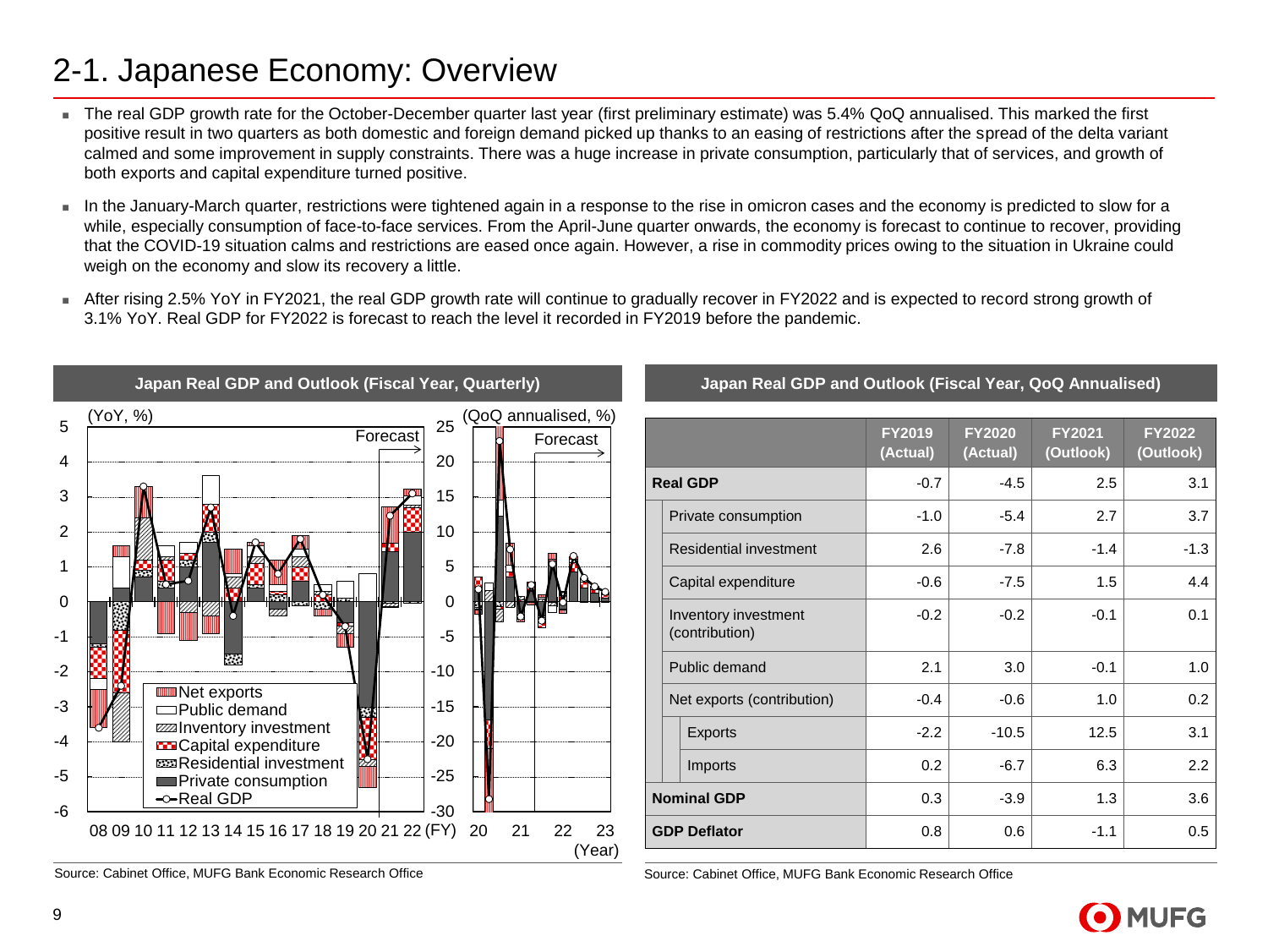### 2-1. Japanese Economy: Overview

- The real GDP growth rate for the October-December quarter last year (first preliminary estimate) was 5.4% QoQ annualised. This marked the first positive result in two quarters as both domestic and foreign demand picked up thanks to an easing of restrictions after the spread of the delta variant calmed and some improvement in supply constraints. There was a huge increase in private consumption, particularly that of services, and growth of both exports and capital expenditure turned positive.
- In the January-March quarter, restrictions were tightened again in a response to the rise in omicron cases and the economy is predicted to slow for a while, especially consumption of face-to-face services. From the April-June quarter onwards, the economy is forecast to continue to recover, providing that the COVID-19 situation calms and restrictions are eased once again. However, a rise in commodity prices owing to the situation in Ukraine could weigh on the economy and slow its recovery a little.
- After rising 2.5% YoY in FY2021, the real GDP growth rate will continue to gradually recover in FY2022 and is expected to record strong growth of 3.1% YoY. Real GDP for FY2022 is forecast to reach the level it recorded in FY2019 before the pandemic.



Source: Cabinet Office, MUFG Bank Economic Research Office Source: Cabinet Office, MUFG Bank Economic Research Office

#### **Japan Real GDP and Outlook (Fiscal Year, Quarterly) Japan Real GDP and Outlook (Fiscal Year, QoQ Annualised)**

|                                        | <b>FY2019</b><br>(Actual) | <b>FY2020</b><br>(Actual) | <b>FY2021</b><br>(Outlook) | <b>FY2022</b><br>(Outlook) |
|----------------------------------------|---------------------------|---------------------------|----------------------------|----------------------------|
| <b>Real GDP</b>                        | $-0.7$                    | $-4.5$                    | 2.5                        | 3.1                        |
| Private consumption                    | $-1.0$                    | $-5.4$                    | 2.7                        | 3.7                        |
| Residential investment                 | 2.6                       | $-7.8$                    | $-1.4$                     | $-1.3$                     |
| Capital expenditure                    | $-0.6$                    | $-7.5$                    | 1.5                        | 4.4                        |
| Inventory investment<br>(contribution) | $-0.2$                    | $-0.2$                    | $-0.1$                     | 0.1                        |
| Public demand                          | 2.1                       | 3.0                       | $-0.1$                     | 1.0                        |
| Net exports (contribution)             | $-0.4$                    | $-0.6$                    | 1.0                        | 0.2                        |
| <b>Exports</b>                         | $-2.2$                    | $-10.5$                   | 12.5                       | 3.1                        |
| Imports                                | 0.2                       | $-6.7$                    | 6.3                        | 2.2                        |
| <b>Nominal GDP</b>                     | 0.3                       | $-3.9$                    | 1.3                        | 3.6                        |
| <b>GDP Deflator</b>                    | 0.8                       | 0.6                       | $-1.1$                     | 0.5                        |

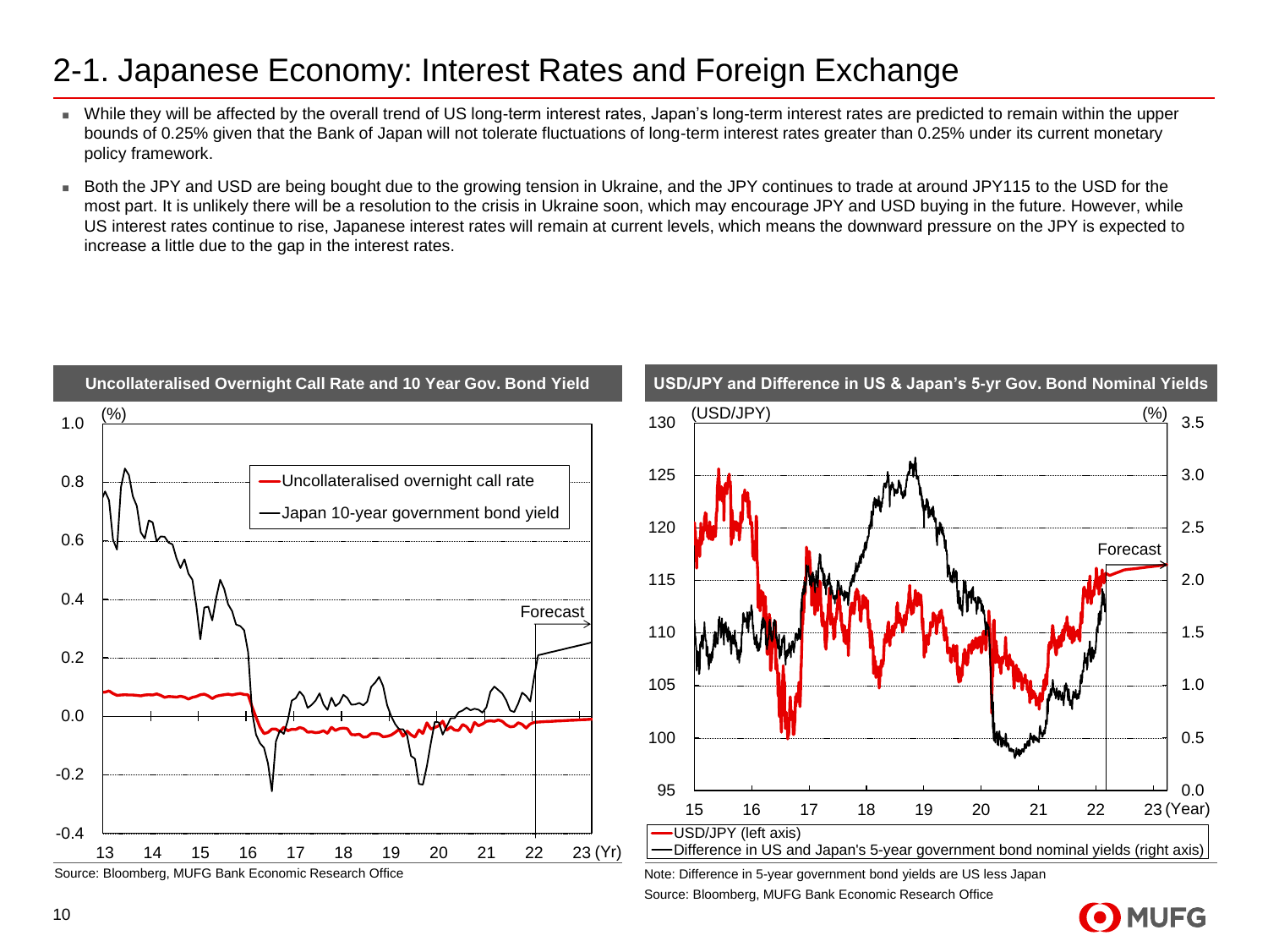#### 2-1. Japanese Economy: Interest Rates and Foreign Exchange

- While they will be affected by the overall trend of US long-term interest rates, Japan's long-term interest rates are predicted to remain within the upper bounds of 0.25% given that the Bank of Japan will not tolerate fluctuations of long-term interest rates greater than 0.25% under its current monetary policy framework.
- Both the JPY and USD are being bought due to the growing tension in Ukraine, and the JPY continues to trade at around JPY115 to the USD for the most part. It is unlikely there will be a resolution to the crisis in Ukraine soon, which may encourage JPY and USD buying in the future. However, while US interest rates continue to rise, Japanese interest rates will remain at current levels, which means the downward pressure on the JPY is expected to increase a little due to the gap in the interest rates.



Source: Bloomberg, MUFG Bank Economic Research Office

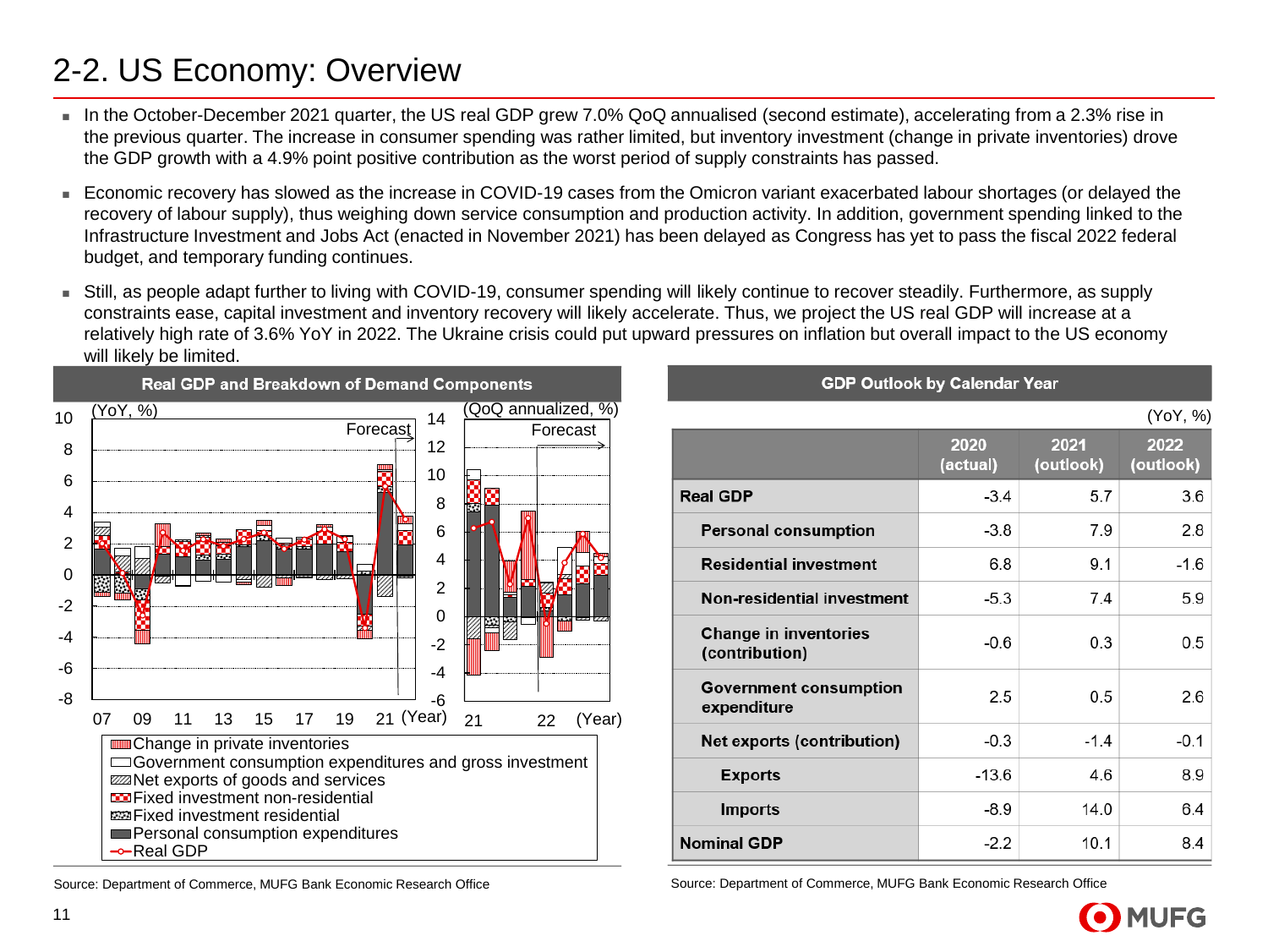### 2-2. US Economy: Overview

- In the October-December 2021 quarter, the US real GDP grew 7.0% QoQ annualised (second estimate), accelerating from a 2.3% rise in the previous quarter. The increase in consumer spending was rather limited, but inventory investment (change in private inventories) drove the GDP growth with a 4.9% point positive contribution as the worst period of supply constraints has passed.
- <sup>◼</sup> Economic recovery has slowed as the increase in COVID-19 cases from the Omicron variant exacerbated labour shortages (or delayed the recovery of labour supply), thus weighing down service consumption and production activity. In addition, government spending linked to the Infrastructure Investment and Jobs Act (enacted in November 2021) has been delayed as Congress has yet to pass the fiscal 2022 federal budget, and temporary funding continues.
- Still, as people adapt further to living with COVID-19, consumer spending will likely continue to recover steadily. Furthermore, as supply constraints ease, capital investment and inventory recovery will likely accelerate. Thus, we project the US real GDP will increase at a relatively high rate of 3.6% YoY in 2022. The Ukraine crisis could put upward pressures on inflation but overall impact to the US economy will likely be limited.



|                                                | <b>GDP Outlook by Calendar Year</b> |                   |                   |
|------------------------------------------------|-------------------------------------|-------------------|-------------------|
|                                                |                                     |                   | (YoY, %)          |
|                                                | 2020<br>(actual)                    | 2021<br>(outlook) | 2022<br>(outlook) |
| <b>Real GDP</b>                                | $-3.4$                              | 5.7               | 3.6               |
| <b>Personal consumption</b>                    | $-3.8$                              | 7.9               | 2.8               |
| <b>Residential investment</b>                  | 6.8                                 | 9.1               | -1.6              |
| Non-residential investment                     | $-5.3$                              | 7.4               | 5.9               |
| <b>Change in inventories</b><br>(contribution) | $-0.6$                              | 0.3               | 0.5               |
| <b>Government consumption</b><br>expenditure   | 2.5                                 | 0.5               | 2.6               |
| <b>Net exports (contribution)</b>              | $-0.3$                              | $-1.4$            | $-0.1$            |
| <b>Exports</b>                                 | $-13.6$                             | 4.6               | 8.9               |
| <b>Imports</b>                                 | $-8.9$                              | 14.0              | 6.4               |
| <b>Nominal GDP</b>                             | $-22$                               | 10.1              | 84                |

Source: Department of Commerce, MUFG Bank Economic Research Office Source: Department of Commerce, MUFG Bank Economic Research Office

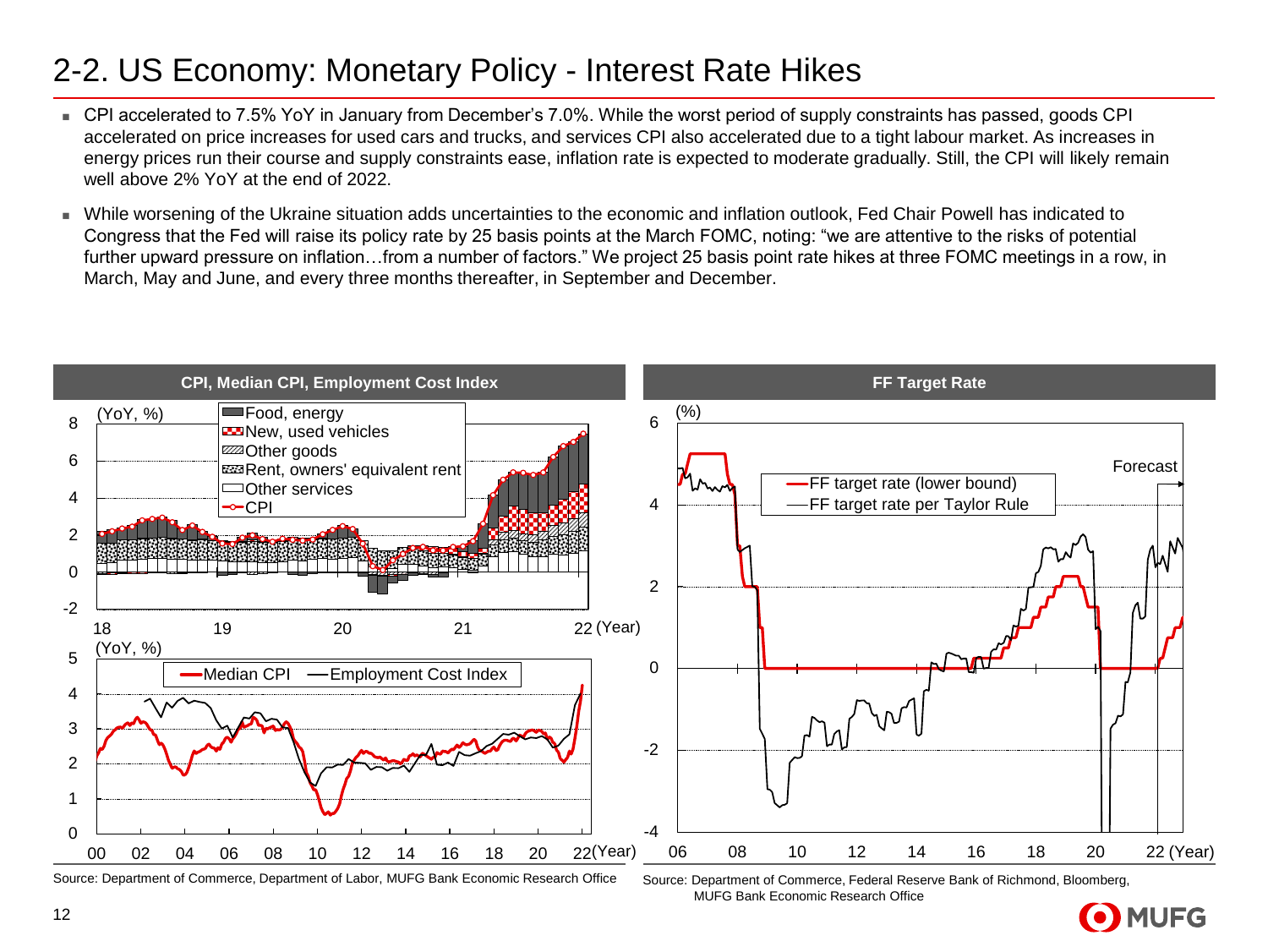### 2-2. US Economy: Monetary Policy - Interest Rate Hikes

- CPI accelerated to 7.5% YoY in January from December's 7.0%. While the worst period of supply constraints has passed, goods CPI accelerated on price increases for used cars and trucks, and services CPI also accelerated due to a tight labour market. As increases in energy prices run their course and supply constraints ease, inflation rate is expected to moderate gradually. Still, the CPI will likely remain well above 2% YoY at the end of 2022.
- While worsening of the Ukraine situation adds uncertainties to the economic and inflation outlook, Fed Chair Powell has indicated to Congress that the Fed will raise its policy rate by 25 basis points at the March FOMC, noting: "we are attentive to the risks of potential further upward pressure on inflation…from a number of factors." We project 25 basis point rate hikes at three FOMC meetings in a row, in March, May and June, and every three months thereafter, in September and December.



Source: Department of Commerce, Department of Labor, MUFG Bank Economic Research Office Source: Department of Commerce, Federal Reserve Bank of Richmond, Bloomberg,

MUFG Bank Economic Research Office

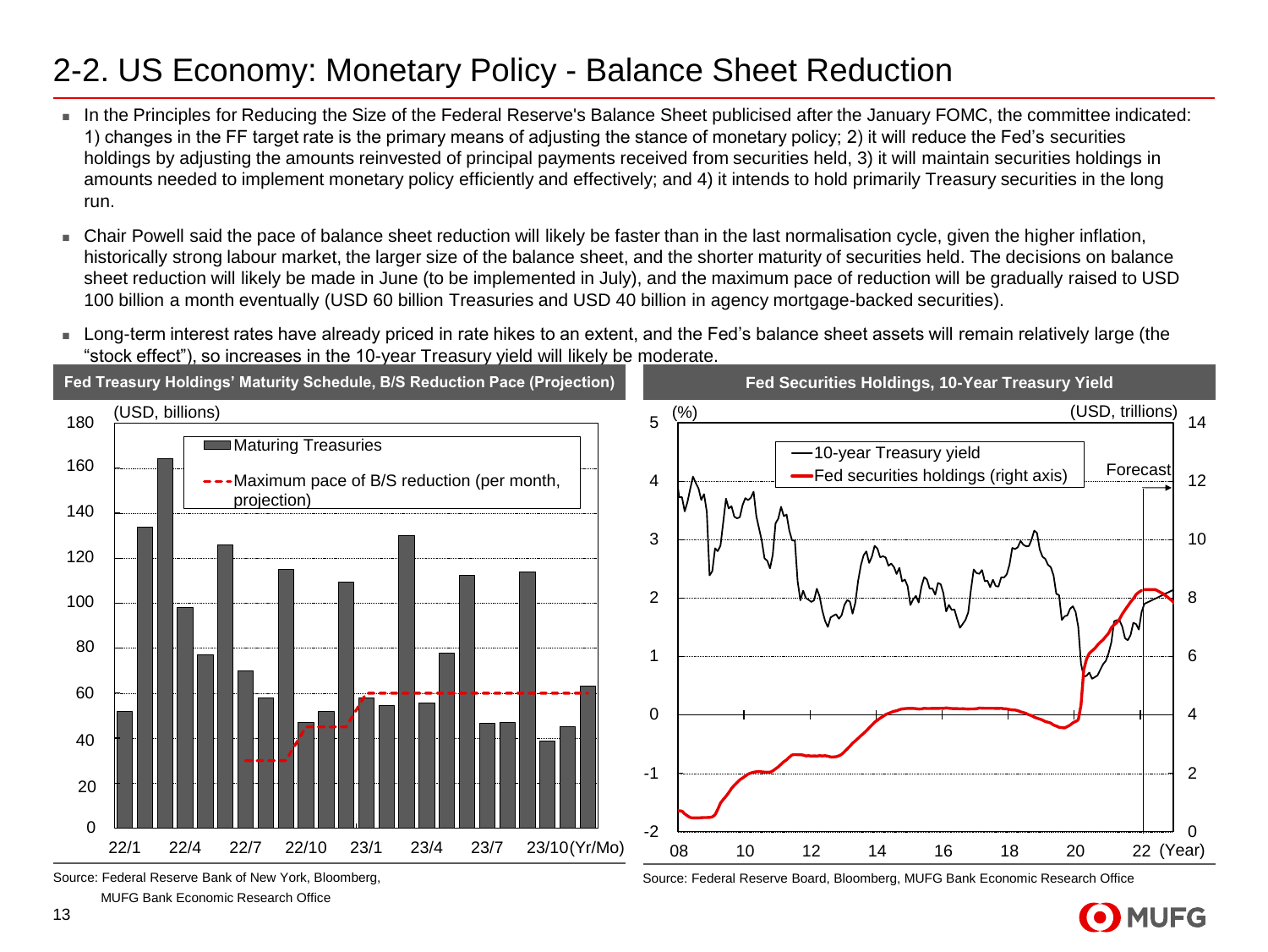### 2-2. US Economy: Monetary Policy - Balance Sheet Reduction

- In the Principles for Reducing the Size of the Federal Reserve's Balance Sheet publicised after the January FOMC, the committee indicated: 1) changes in the FF target rate is the primary means of adjusting the stance of monetary policy; 2) it will reduce the Fed's securities holdings by adjusting the amounts reinvested of principal payments received from securities held, 3) it will maintain securities holdings in amounts needed to implement monetary policy efficiently and effectively; and 4) it intends to hold primarily Treasury securities in the long run.
- Chair Powell said the pace of balance sheet reduction will likely be faster than in the last normalisation cycle, given the higher inflation, historically strong labour market, the larger size of the balance sheet, and the shorter maturity of securities held. The decisions on balance sheet reduction will likely be made in June (to be implemented in July), and the maximum pace of reduction will be gradually raised to USD 100 billion a month eventually (USD 60 billion Treasuries and USD 40 billion in agency mortgage-backed securities).
- Long-term interest rates have already priced in rate hikes to an extent, and the Fed's balance sheet assets will remain relatively large (the "stock effect"), so increases in the 10-year Treasury yield will likely be moderate.



Source: Federal Reserve Bank of New York, Bloomberg,

MUFG Bank Economic Research Office

Source: Federal Reserve Board, Bloomberg, MUFG Bank Economic Research Office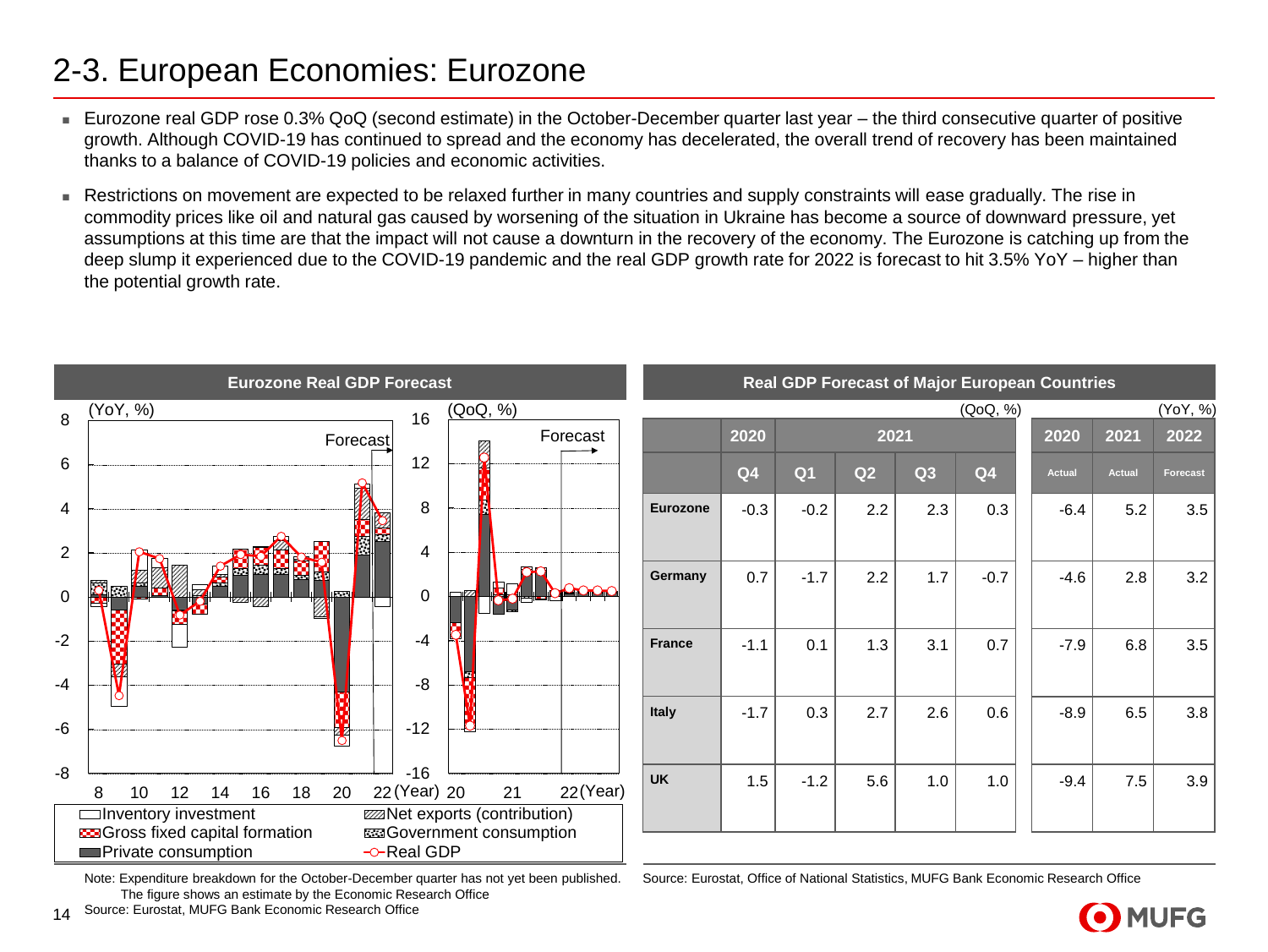### 2-3. European Economies: Eurozone

- Eurozone real GDP rose 0.3% QoQ (second estimate) in the October-December quarter last year the third consecutive quarter of positive growth. Although COVID-19 has continued to spread and the economy has decelerated, the overall trend of recovery has been maintained thanks to a balance of COVID-19 policies and economic activities.
- Restrictions on movement are expected to be relaxed further in many countries and supply constraints will ease gradually. The rise in commodity prices like oil and natural gas caused by worsening of the situation in Ukraine has become a source of downward pressure, yet assumptions at this time are that the impact will not cause a downturn in the recovery of the economy. The Eurozone is catching up from the deep slump it experienced due to the COVID-19 pandemic and the real GDP growth rate for 2022 is forecast to hit 3.5% YoY – higher than the potential growth rate.



Note: Expenditure breakdown for the October-December quarter has not yet been published. The figure shows an estimate by the Economic Research Office

Source: Eurostat, Office of National Statistics, MUFG Bank Economic Research Office

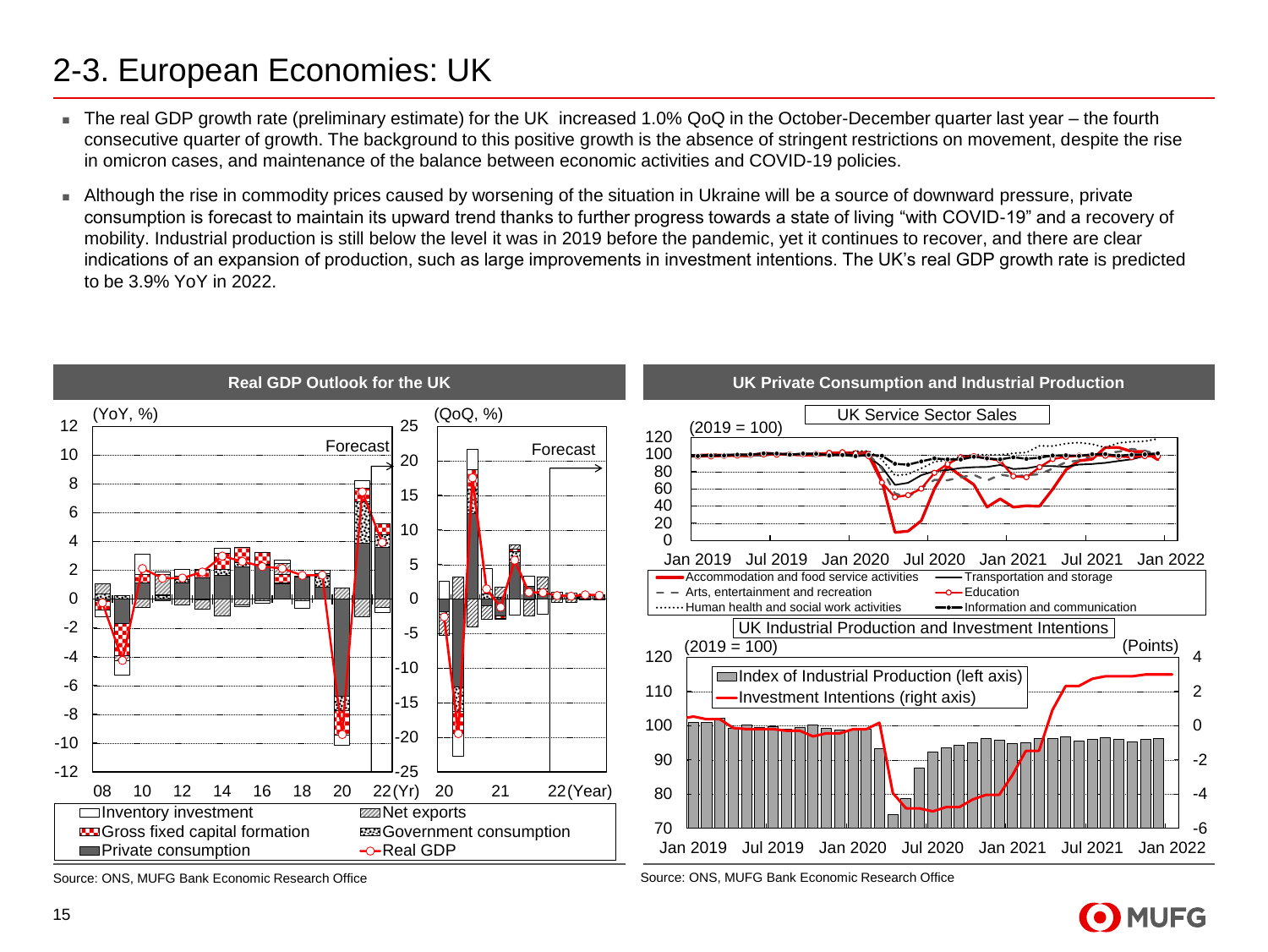### 2-3. European Economies: UK

- The real GDP growth rate (preliminary estimate) for the UK increased 1.0% QoQ in the October-December quarter last year the fourth consecutive quarter of growth. The background to this positive growth is the absence of stringent restrictions on movement, despite the rise in omicron cases, and maintenance of the balance between economic activities and COVID-19 policies.
- <sup>◼</sup> Although the rise in commodity prices caused by worsening of the situation in Ukraine will be a source of downward pressure, private consumption is forecast to maintain its upward trend thanks to further progress towards a state of living "with COVID-19" and a recovery of mobility. Industrial production is still below the level it was in 2019 before the pandemic, yet it continues to recover, and there are clear indications of an expansion of production, such as large improvements in investment intentions. The UK's real GDP growth rate is predicted to be 3.9% YoY in 2022.



Source: ONS, MUFG Bank Economic Research Office Source: ONS, MUFG Bank Economic Research Office

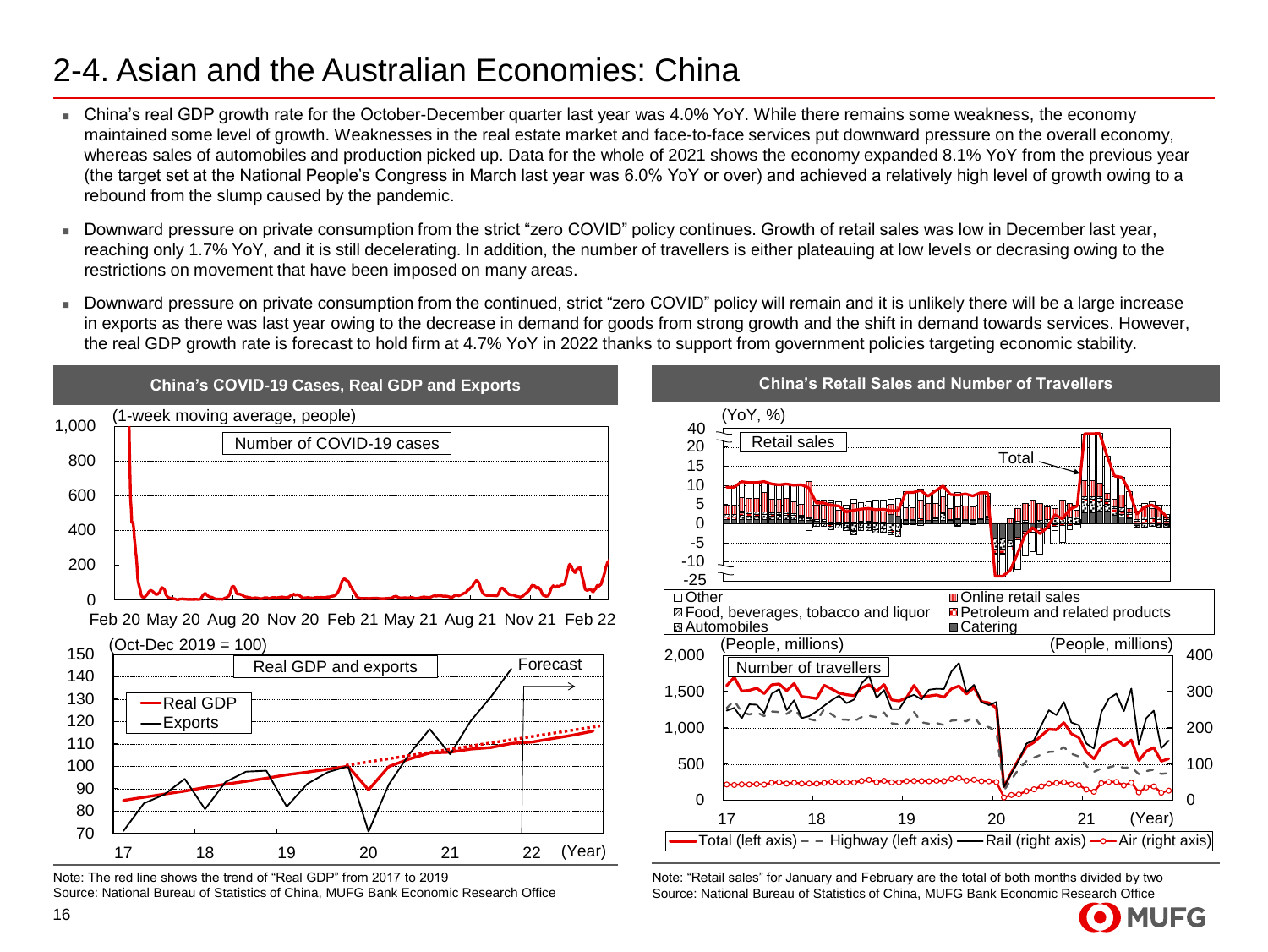### 2-4. Asian and the Australian Economies: China

- China's real GDP growth rate for the October-December quarter last year was 4.0% YoY. While there remains some weakness, the economy maintained some level of growth. Weaknesses in the real estate market and face-to-face services put downward pressure on the overall economy, whereas sales of automobiles and production picked up. Data for the whole of 2021 shows the economy expanded 8.1% YoY from the previous year (the target set at the National People's Congress in March last year was 6.0% YoY or over) and achieved a relatively high level of growth owing to a rebound from the slump caused by the pandemic.
- Downward pressure on private consumption from the strict "zero COVID" policy continues. Growth of retail sales was low in December last year, reaching only 1.7% YoY, and it is still decelerating. In addition, the number of travellers is either plateauing at low levels or decrasing owing to the restrictions on movement that have been imposed on many areas.
- Downward pressure on private consumption from the continued, strict "zero COVID" policy will remain and it is unlikely there will be a large increase in exports as there was last year owing to the decrease in demand for goods from strong growth and the shift in demand towards services. However, the real GDP growth rate is forecast to hold firm at 4.7% YoY in 2022 thanks to support from government policies targeting economic stability.



Note: The red line shows the trend of "Real GDP" from 2017 to 2019 Source: National Bureau of Statistics of China, MUFG Bank Economic Research Office



Note: "Retail sales" for January and February are the total of both months divided by two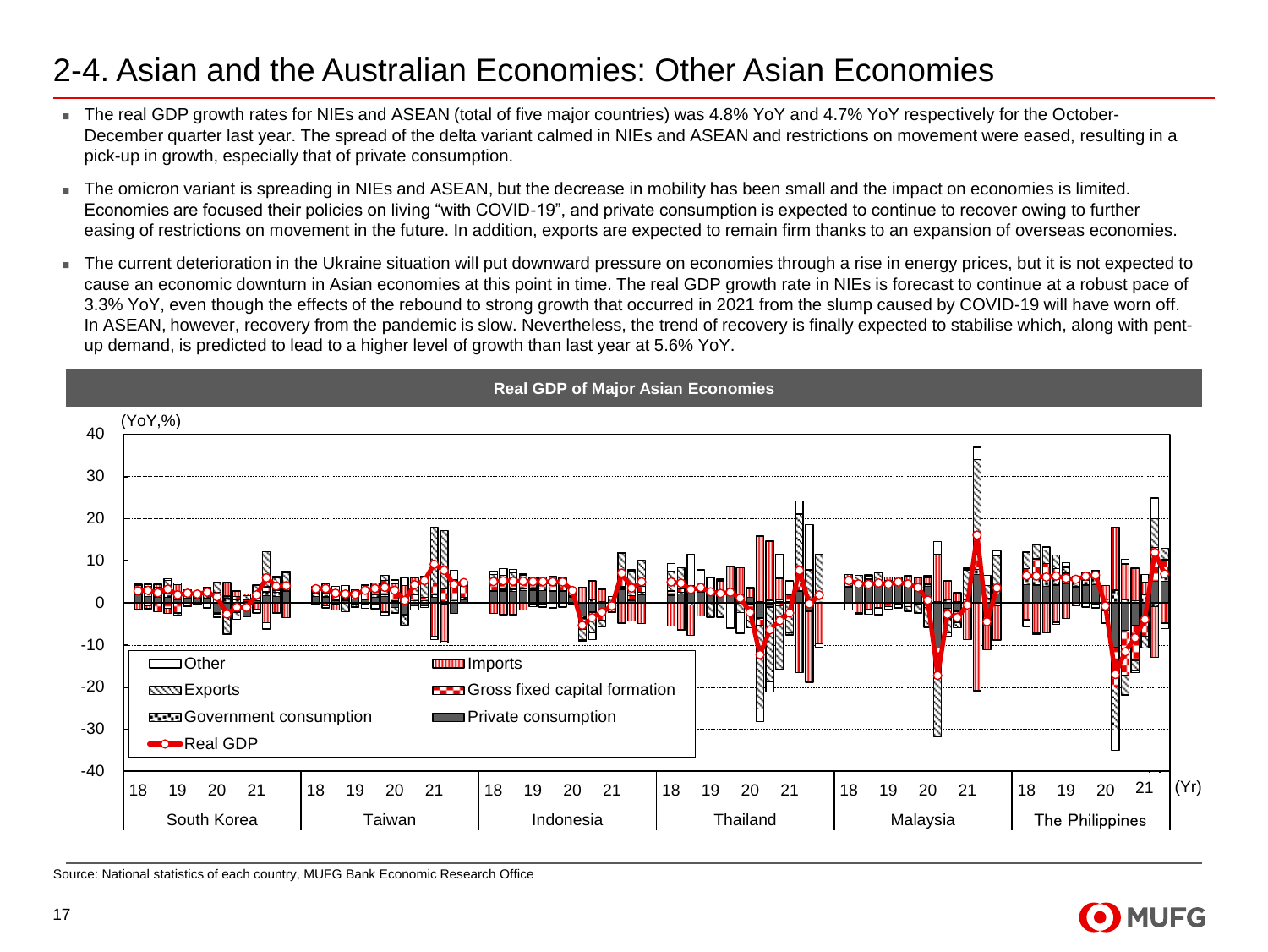#### 2-4. Asian and the Australian Economies: Other Asian Economies

- The real GDP growth rates for NIEs and ASEAN (total of five major countries) was 4.8% YoY and 4.7% YoY respectively for the October-December quarter last year. The spread of the delta variant calmed in NIEs and ASEAN and restrictions on movement were eased, resulting in a pick-up in growth, especially that of private consumption.
- The omicron variant is spreading in NIEs and ASEAN, but the decrease in mobility has been small and the impact on economies is limited. Economies are focused their policies on living "with COVID-19", and private consumption is expected to continue to recover owing to further easing of restrictions on movement in the future. In addition, exports are expected to remain firm thanks to an expansion of overseas economies.
- The current deterioration in the Ukraine situation will put downward pressure on economies through a rise in energy prices, but it is not expected to cause an economic downturn in Asian economies at this point in time. The real GDP growth rate in NIEs is forecast to continue at a robust pace of 3.3% YoY, even though the effects of the rebound to strong growth that occurred in 2021 from the slump caused by COVID-19 will have worn off. In ASEAN, however, recovery from the pandemic is slow. Nevertheless, the trend of recovery is finally expected to stabilise which, along with pentup demand, is predicted to lead to a higher level of growth than last year at 5.6% YoY.



Source: National statistics of each country, MUFG Bank Economic Research Office

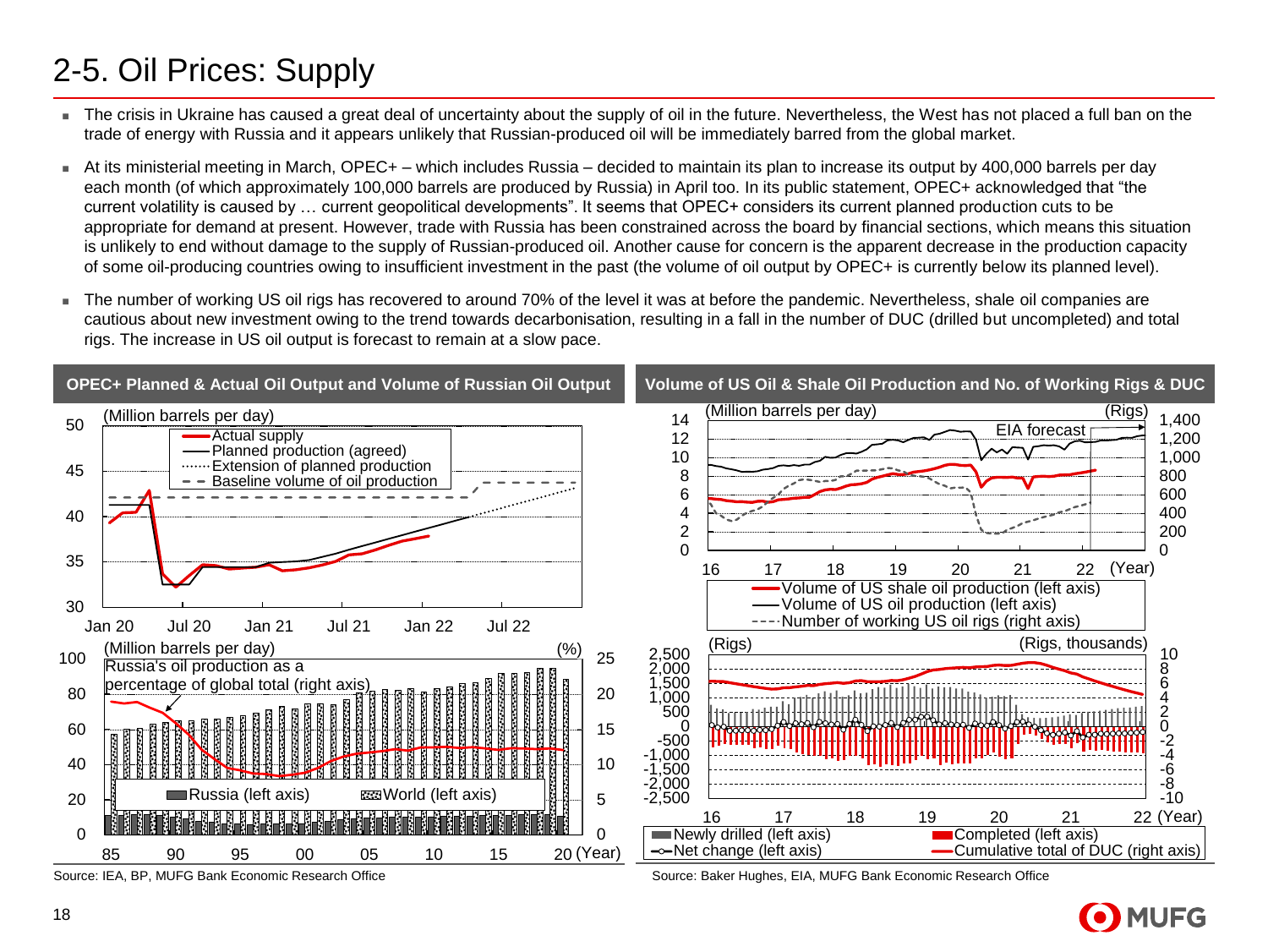## 2-5. Oil Prices: Supply

- The crisis in Ukraine has caused a great deal of uncertainty about the supply of oil in the future. Nevertheless, the West has not placed a full ban on the trade of energy with Russia and it appears unlikely that Russian-produced oil will be immediately barred from the global market.
- At its ministerial meeting in March, OPEC+ which includes Russia decided to maintain its plan to increase its output by 400,000 barrels per day each month (of which approximately 100,000 barrels are produced by Russia) in April too. In its public statement, OPEC+ acknowledged that "the current volatility is caused by … current geopolitical developments". It seems that OPEC+ considers its current planned production cuts to be appropriate for demand at present. However, trade with Russia has been constrained across the board by financial sections, which means this situation is unlikely to end without damage to the supply of Russian-produced oil. Another cause for concern is the apparent decrease in the production capacity of some oil-producing countries owing to insufficient investment in the past (the volume of oil output by OPEC+ is currently below its planned level).
- The number of working US oil rigs has recovered to around 70% of the level it was at before the pandemic. Nevertheless, shale oil companies are cautious about new investment owing to the trend towards decarbonisation, resulting in a fall in the number of DUC (drilled but uncompleted) and total rigs. The increase in US oil output is forecast to remain at a slow pace.



Source: IEA, BP, MUFG Bank Economic Research Office

Source: Baker Hughes, EIA, MUFG Bank Economic Research Office

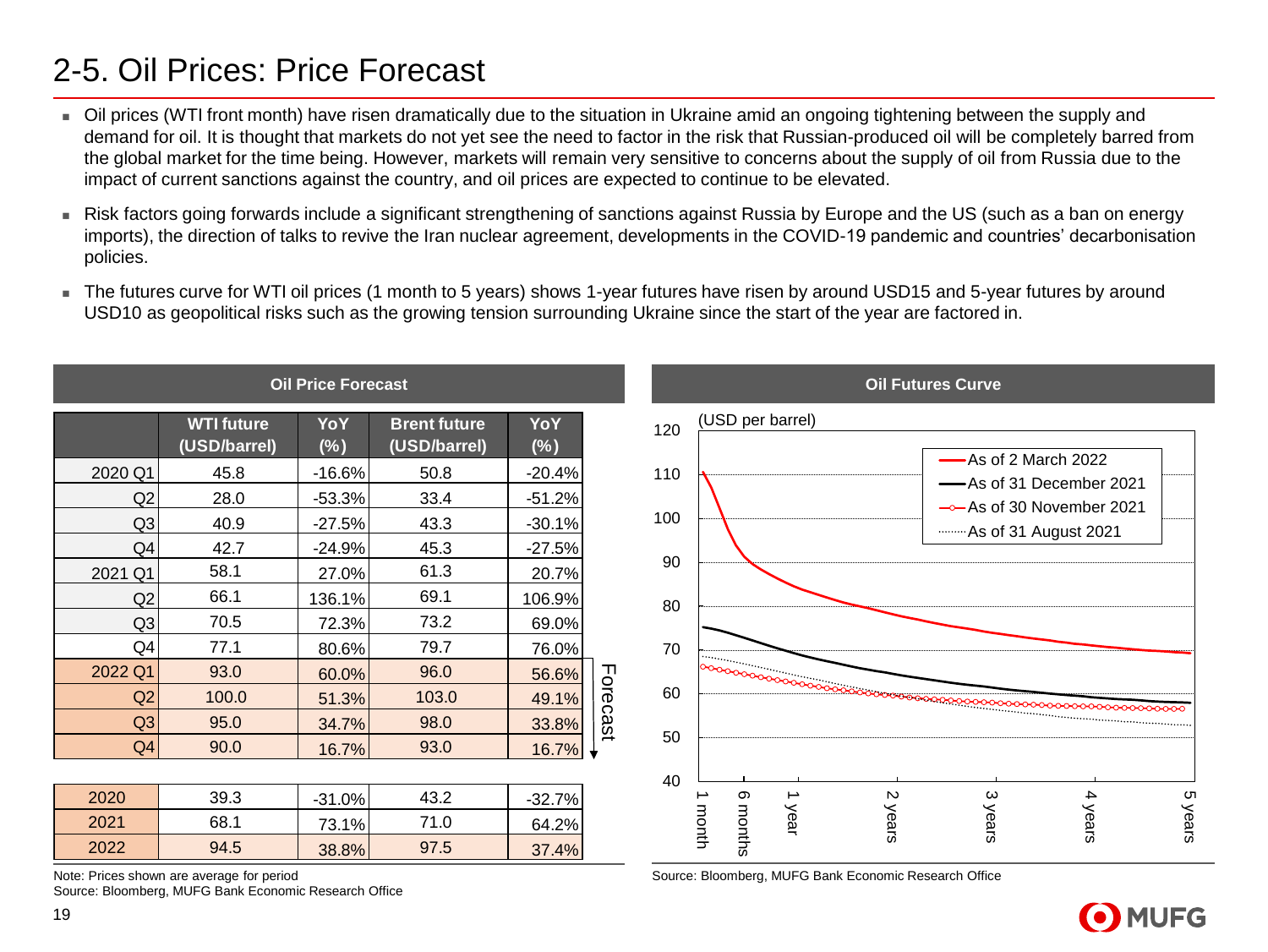#### 2-5. Oil Prices: Price Forecast

- Oil prices (WTI front month) have risen dramatically due to the situation in Ukraine amid an ongoing tightening between the supply and demand for oil. It is thought that markets do not yet see the need to factor in the risk that Russian-produced oil will be completely barred from the global market for the time being. However, markets will remain very sensitive to concerns about the supply of oil from Russia due to the impact of current sanctions against the country, and oil prices are expected to continue to be elevated.
- Risk factors going forwards include a significant strengthening of sanctions against Russia by Europe and the US (such as a ban on energy imports), the direction of talks to revive the Iran nuclear agreement, developments in the COVID-19 pandemic and countries' decarbonisation policies.
- The futures curve for WTI oil prices (1 month to 5 years) shows 1-year futures have risen by around USD15 and 5-year futures by around USD10 as geopolitical risks such as the growing tension surrounding Ukraine since the start of the year are factored in.

|                |                                           | <b>Oil Price Forecast</b> |                                     |               |          |                  |      |                                                       | <b>Oil Futures Curve</b>                       |       |       |
|----------------|-------------------------------------------|---------------------------|-------------------------------------|---------------|----------|------------------|------|-------------------------------------------------------|------------------------------------------------|-------|-------|
|                | <b>WTI future</b><br>(USD/barrel)         | YoY<br>$(\%)$             | <b>Brent future</b><br>(USD/barrel) | YoY<br>$(\%)$ | 120      | (USD per barrel) |      |                                                       |                                                |       |       |
| 2020 Q1        | 45.8                                      | $-16.6%$                  | 50.8                                | $-20.4%$      | 110      |                  |      |                                                       | -As of 2 March 2022<br>-As of 31 December 2021 |       |       |
| Q2             | 28.0                                      | $-53.3%$                  | 33.4                                | $-51.2%$      |          |                  |      |                                                       | $\rightarrow$ As of 30 November 2021           |       |       |
| Q <sub>3</sub> | 40.9                                      | $-27.5%$                  | 43.3                                | $-30.1%$      | 100      |                  |      |                                                       | As of 31 August 2021                           |       |       |
| Q4             | 42.7                                      | $-24.9%$                  | 45.3                                | $-27.5%$      |          |                  |      |                                                       |                                                |       |       |
| 2021 Q1        | 58.1                                      | 27.0%                     | 61.3                                | 20.7%         | 90       |                  |      |                                                       |                                                |       |       |
| Q2             | 66.1                                      | 136.1%                    | 69.1                                | 106.9%        | 80       |                  |      |                                                       |                                                |       |       |
| Q <sub>3</sub> | 70.5                                      | 72.3%                     | 73.2                                | 69.0%         |          |                  |      |                                                       |                                                |       |       |
| Q4             | 77.1                                      | 80.6%                     | 79.7                                | 76.0%         | 70       |                  |      |                                                       |                                                |       |       |
| 2022 Q1        | 93.0                                      | 60.0%                     | 96.0                                | 56.6%         |          |                  |      |                                                       |                                                |       |       |
| Q2             | 100.0                                     | 51.3%                     | 103.0                               | 49.1%         | 60       |                  |      |                                                       |                                                |       |       |
| Q3             | 95.0                                      | 34.7%                     | 98.0                                | 33.8%         | Forecast |                  |      |                                                       |                                                |       |       |
| Q4             | 90.0                                      | 16.7%                     | 93.0                                | 16.7%         | 50       |                  |      |                                                       |                                                |       |       |
|                |                                           |                           |                                     |               | 40       |                  |      |                                                       |                                                |       |       |
| 2020           | 39.3                                      | $-31.0%$                  | 43.2                                | $-32.7%$      |          | တ                | ∸    | $\mathsf{N}$                                          | ω                                              | 4     | Сŋ    |
| 2021           | 68.1                                      | 73.1%                     | 71.0                                | 64.2%         |          | months<br>month  | year | years                                                 | years                                          | years | years |
| 2022           | 94.5                                      | 38.8%                     | 97.5                                | 37.4%         |          |                  |      |                                                       |                                                |       |       |
|                | Note: Prices shown are average for period |                           |                                     |               |          |                  |      | Source: Bloomberg, MUFG Bank Economic Research Office |                                                |       |       |

Source: Bloomberg, MUFG Bank Economic Research Office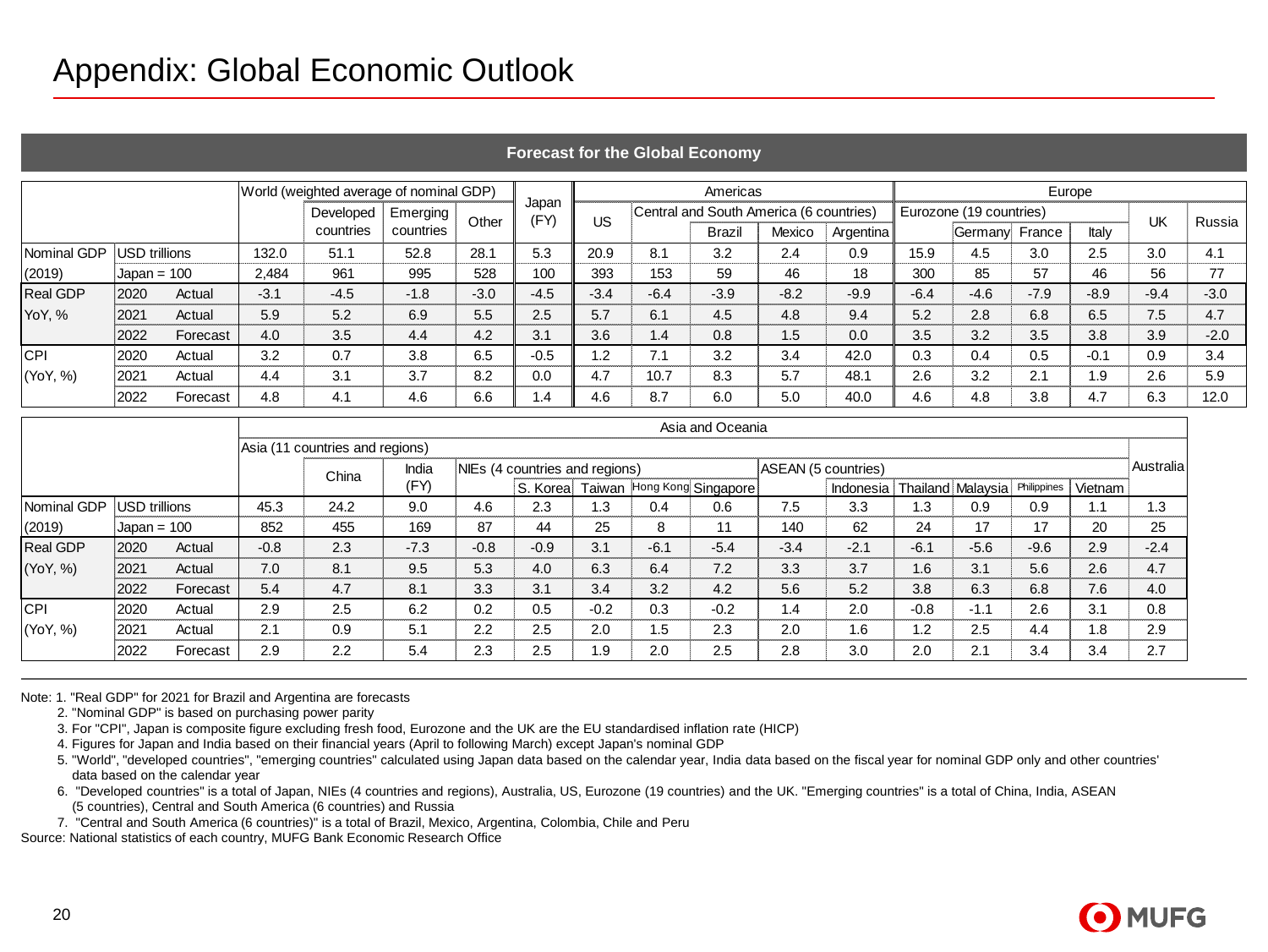|                 |               |          |        | World (weighted average of nominal GDP) |           |        |               |           |        | Americas                                | Europe |           |        |                         |        |        |        |        |
|-----------------|---------------|----------|--------|-----------------------------------------|-----------|--------|---------------|-----------|--------|-----------------------------------------|--------|-----------|--------|-------------------------|--------|--------|--------|--------|
|                 |               |          |        | Developed                               | Emerging! | Other  | Japan<br>(FY) | <b>US</b> |        | Central and South America (6 countries) |        |           |        | Eurozone (19 countries) |        |        | UK     | Russia |
|                 |               |          |        | countries                               | countries |        |               |           |        | Brazil                                  | Mexico | Argentina |        | <b>Germany</b>          | France | Italy  |        |        |
| Nominal GDP     | USD trillions |          | 132.0  | 51.1                                    | 52.8      | 28.1   | 5.3           | 20.9      | 8.1    | 3.2                                     | 2.4    | 0.9       | 15.9   | 4.5                     | 3.0    | 2.5    | 3.0    | 4.1    |
| (2019)          | $Japan = 100$ |          | 2.484  | 961                                     | 995       | 528    | 100           | 393       | 153    | 59                                      | 46     | 18        | 300    | 85                      | 57     | 46     | 56     | 77     |
| <b>Real GDP</b> | 2020          | Actual   | $-3.1$ | $-4.5$                                  | $-1.8$    | $-3.0$ | $-4.5$        | $-3.4$    | $-6.4$ | $-3.9$                                  | $-8.2$ | $-9.9$    | $-6.4$ | $-4.6$                  | $-7.9$ | $-8.9$ | $-9.4$ | $-3.0$ |
| <b>YoY, %</b>   | 2021          | Actual   | 5.9    | 5.2                                     | 6.9       | 5.5    | 2.5           | 5.7       | 6.1    | 4.5                                     | 4.8    | 9.4       | 5.2    | 2.8                     | 6.8    | 6.5    | 7.5    | 4.7    |
|                 | 2022          | Forecast | 4.0    | 3.5                                     | 4.4       | 4.2    | 3.1           | 3.6       | 1.4    | 0.8                                     | 1.5    | 0.0       | 3.5    | 3.2                     | 3.5    | 3.8    | 3.9    | $-2.0$ |
| <b>CPI</b>      | 2020          | Actual   | 3.2    | 0.7                                     | 3.8       | 6.5    | $-0.5$        | 1.2       | 7.1    | 3.2                                     | 3.4    | 42.0      | 0.3    | 0.4                     | 0.5    | $-0.1$ | 0.9    | 3.4    |
| (YoY, %)        | 2021          | Actual   | 4.4    | 3.1                                     | 3.7       | 8.2    | 0.0           | 4.7       | 10.7   | 8.3                                     | 5.7    | 48.1      | 2.6    | 3.2                     | 2.1    | 1.9    | 2.6    | 5.9    |
|                 | 2022          | Forecast | 4.8    | 4.1                                     | 4.6       | 6.6    | . 4           | 4.6       | 8.7    | 6.0                                     | 5.0    | 40.0      | 4.6    | 4.8                     | 3.8    | 4.7    | 6.3    | 12.0   |

#### **Forecast for the Global Economy**

|                                                                                                                                                        |               |                                                                                         |        | Developed                                                                                                                                                                                                                                                                                                                                                                                                                                                                                                                                                                                                                                                                                                                                                                                                                                 | Emerging  | Other  | (FY)                           | <b>US</b> |        | Central and South America (6 countries) |                     |                                         |        | Eurozone (19 countries) |        |         | <b>UK</b> |
|--------------------------------------------------------------------------------------------------------------------------------------------------------|---------------|-----------------------------------------------------------------------------------------|--------|-------------------------------------------------------------------------------------------------------------------------------------------------------------------------------------------------------------------------------------------------------------------------------------------------------------------------------------------------------------------------------------------------------------------------------------------------------------------------------------------------------------------------------------------------------------------------------------------------------------------------------------------------------------------------------------------------------------------------------------------------------------------------------------------------------------------------------------------|-----------|--------|--------------------------------|-----------|--------|-----------------------------------------|---------------------|-----------------------------------------|--------|-------------------------|--------|---------|-----------|
|                                                                                                                                                        |               |                                                                                         |        | countries                                                                                                                                                                                                                                                                                                                                                                                                                                                                                                                                                                                                                                                                                                                                                                                                                                 | countries |        |                                |           |        | <b>Brazil</b>                           | Mexico              | Argentina                               |        | Germany! France         |        | Italy   |           |
| Nominal GDP                                                                                                                                            | USD trillions |                                                                                         | 132.0  | 51.1                                                                                                                                                                                                                                                                                                                                                                                                                                                                                                                                                                                                                                                                                                                                                                                                                                      | 52.8      | 28.1   | 5.3                            | 20.9      | 8.1    | 3.2                                     | 2.4                 | 0.9                                     | 15.9   | 4.5                     | 3.0    | 2.5     | 3.0       |
| (2019)                                                                                                                                                 | $Japan = 100$ |                                                                                         | 2,484  | 961                                                                                                                                                                                                                                                                                                                                                                                                                                                                                                                                                                                                                                                                                                                                                                                                                                       | 995       | 528    | 100                            | 393       | 153    | 59                                      | 46                  | 18                                      | 300    | 85                      | 57     | 46      | 56        |
| <b>Real GDP</b>                                                                                                                                        | 2020          | Actual                                                                                  | $-3.1$ | $-4.5$                                                                                                                                                                                                                                                                                                                                                                                                                                                                                                                                                                                                                                                                                                                                                                                                                                    | $-1.8$    | $-3.0$ | $-4.5$                         | $-3.4$    | $-6.4$ | $-3.9$                                  | $-8.2$              | $-9.9$                                  | $-6.4$ | $-4.6$                  | $-7.9$ | $-8.9$  | $-9.4$    |
| YoY, %                                                                                                                                                 | 2021          | Actual                                                                                  | 5.9    | 5.2                                                                                                                                                                                                                                                                                                                                                                                                                                                                                                                                                                                                                                                                                                                                                                                                                                       | 6.9       | 5.5    | 2.5                            | 5.7       | 6.1    | 4.5                                     | 4.8                 | 9.4                                     | 5.2    | 2.8                     | 6.8    | 6.5     | 7.5       |
|                                                                                                                                                        | 2022          | Forecast                                                                                | 4.0    | 3.5                                                                                                                                                                                                                                                                                                                                                                                                                                                                                                                                                                                                                                                                                                                                                                                                                                       | 4.4       | 4.2    | 3.1                            | 3.6       | 1.4    | 0.8                                     | 1.5                 | 0.0                                     | 3.5    | 3.2                     | 3.5    | 3.8     | 3.9       |
| <b>CPI</b>                                                                                                                                             | 2020          | Actual                                                                                  | 3.2    | 0.7                                                                                                                                                                                                                                                                                                                                                                                                                                                                                                                                                                                                                                                                                                                                                                                                                                       | 3.8       | 6.5    | $-0.5$                         | 1.2       | 7.1    | 3.2                                     | 3.4                 | 42.0                                    | 0.3    | 0.4                     | 0.5    | $-0.1$  | 0.9       |
| (YoY, %)                                                                                                                                               | 2021          | Actual                                                                                  | 4.4    | 3.1                                                                                                                                                                                                                                                                                                                                                                                                                                                                                                                                                                                                                                                                                                                                                                                                                                       | 3.7       | 8.2    | 0.0                            | 4.7       | 10.7   | 8.3                                     | 5.7                 | 48.1                                    | 2.6    | 3.2                     | 2.1    | 1.9     | 2.6       |
|                                                                                                                                                        | 2022          | Forecast                                                                                | 4.8    | 4.1                                                                                                                                                                                                                                                                                                                                                                                                                                                                                                                                                                                                                                                                                                                                                                                                                                       | 4.6       | 6.6    | 1.4                            | 4.6       | 8.7    | 6.0                                     | 5.0                 | 40.0                                    | 4.6    | 4.8                     | 3.8    | 4.7     | 6.3       |
|                                                                                                                                                        |               |                                                                                         |        |                                                                                                                                                                                                                                                                                                                                                                                                                                                                                                                                                                                                                                                                                                                                                                                                                                           |           |        |                                |           |        | Asia and Oceania                        |                     |                                         |        |                         |        |         |           |
|                                                                                                                                                        |               |                                                                                         |        | Asia (11 countries and regions)                                                                                                                                                                                                                                                                                                                                                                                                                                                                                                                                                                                                                                                                                                                                                                                                           |           |        |                                |           |        |                                         |                     |                                         |        |                         |        |         |           |
|                                                                                                                                                        |               |                                                                                         |        |                                                                                                                                                                                                                                                                                                                                                                                                                                                                                                                                                                                                                                                                                                                                                                                                                                           | India     |        | NIEs (4 countries and regions) |           |        |                                         | ASEAN (5 countries) |                                         |        |                         |        |         | Australia |
|                                                                                                                                                        |               |                                                                                         |        | China                                                                                                                                                                                                                                                                                                                                                                                                                                                                                                                                                                                                                                                                                                                                                                                                                                     | (FY)      |        |                                |           |        | S. Korea Taiwan Hong Kong Singapore     |                     | Indonesia Thailand Malaysia Philippines |        |                         |        | Vietnam |           |
| Nominal GDP                                                                                                                                            | USD trillions |                                                                                         | 45.3   | 24.2                                                                                                                                                                                                                                                                                                                                                                                                                                                                                                                                                                                                                                                                                                                                                                                                                                      | 9.0       | 4.6    | 2.3                            | 1.3       | 0.4    | 0.6                                     | 7.5                 | 3.3                                     | 1.3    | 0.9                     | 0.9    | 1.1     | 1.3       |
| (2019)                                                                                                                                                 | Japan = $100$ |                                                                                         | 852    | 455                                                                                                                                                                                                                                                                                                                                                                                                                                                                                                                                                                                                                                                                                                                                                                                                                                       | 169       | 87     | 44                             | 25        | 8      | 11                                      | 140                 | 62                                      | 24     | 17                      | 17     | 20      | 25        |
| <b>Real GDP</b>                                                                                                                                        | 2020          | Actual                                                                                  | $-0.8$ | 2.3                                                                                                                                                                                                                                                                                                                                                                                                                                                                                                                                                                                                                                                                                                                                                                                                                                       | $-7.3$    | $-0.8$ | $-0.9$                         | 3.1       | $-6.1$ | $-5.4$                                  | $-3.4$              | $-2.1$                                  | $-6.1$ | $-5.6$                  | $-9.6$ | 2.9     | $-2.4$    |
| (YoY, %)                                                                                                                                               | 2021          | Actual                                                                                  | 7.0    | 8.1                                                                                                                                                                                                                                                                                                                                                                                                                                                                                                                                                                                                                                                                                                                                                                                                                                       | 9.5       | 5.3    | 4.0                            | 6.3       | 6.4    | 7.2                                     | 3.3                 | 3.7                                     | 1.6    | 3.1                     | 5.6    | 2.6     | 4.7       |
|                                                                                                                                                        | 2022          | Forecast                                                                                | 5.4    | 4.7                                                                                                                                                                                                                                                                                                                                                                                                                                                                                                                                                                                                                                                                                                                                                                                                                                       | 8.1       | 3.3    | 3.1                            | 3.4       | 3.2    | 4.2                                     | 5.6                 | 5.2                                     | 3.8    | 6.3                     | 6.8    | 7.6     | 4.0       |
| CPI                                                                                                                                                    | 2020          | Actual                                                                                  | 2.9    | 2.5                                                                                                                                                                                                                                                                                                                                                                                                                                                                                                                                                                                                                                                                                                                                                                                                                                       | 6.2       | 0.2    | 0.5                            | $-0.2$    | 0.3    | $-0.2$                                  | 1.4                 | 2.0                                     | $-0.8$ | $-1.1$                  | 2.6    | 3.1     | 0.8       |
| (YoY, %)                                                                                                                                               | 2021          | Actual                                                                                  | 2.1    | 0.9                                                                                                                                                                                                                                                                                                                                                                                                                                                                                                                                                                                                                                                                                                                                                                                                                                       | 5.1       | 2.2    | 2.5                            | 2.0       | 1.5    | 2.3                                     | 2.0                 | 1.6                                     | 1.2    | 2.5                     | 4.4    | 1.8     | 2.9       |
|                                                                                                                                                        | 2022          | Forecast                                                                                | 2.9    | 2.2                                                                                                                                                                                                                                                                                                                                                                                                                                                                                                                                                                                                                                                                                                                                                                                                                                       | 5.4       | 2.3    | 2.5                            | 1.9       | 2.0    | 2.5                                     | 2.8                 | 3.0                                     | 2.0    | 2.1                     | 3.4    | 3.4     | 2.7       |
|                                                                                                                                                        |               |                                                                                         |        |                                                                                                                                                                                                                                                                                                                                                                                                                                                                                                                                                                                                                                                                                                                                                                                                                                           |           |        |                                |           |        |                                         |                     |                                         |        |                         |        |         |           |
| Note: 1. "Real GDP" for 2021 for Brazil and Argentina are forecasts<br>Source: National statistics of each country, MUFG Bank Economic Research Office |               | 2. "Nominal GDP" is based on purchasing power parity<br>data based on the calendar year |        | 3. For "CPI", Japan is composite figure excluding fresh food, Eurozone and the UK are the EU standardised inflation rate (HICP)<br>4. Figures for Japan and India based on their financial years (April to following March) except Japan's nominal GDP<br>5. "World", "developed countries", "emerging countries" calculated using Japan data based on the calendar year, India data based on the fiscal year for nominal GDP only and other countries'<br>6. "Developed countries" is a total of Japan, NIEs (4 countries and regions), Australia, US, Eurozone (19 countries) and the UK. "Emerging countries" is a total of China, India, ASEAN<br>(5 countries), Central and South America (6 countries) and Russia<br>7. "Central and South America (6 countries)" is a total of Brazil, Mexico, Argentina, Colombia, Chile and Peru |           |        |                                |           |        |                                         |                     |                                         |        |                         |        |         |           |

- 5. "World", "developed countries", "emerging countries" calculated using Japan data based on the calendar year, India data based on the fiscal year for nominal GDP only and other countries' data based on the calendar year
- 6. "Developed countries" is a total of Japan, NIEs (4 countries and regions), Australia, US, Eurozone (19 countries) and the UK. "Emerging countries" is a total of China, India, ASEAN (5 countries), Central and South America (6 countries) and Russia

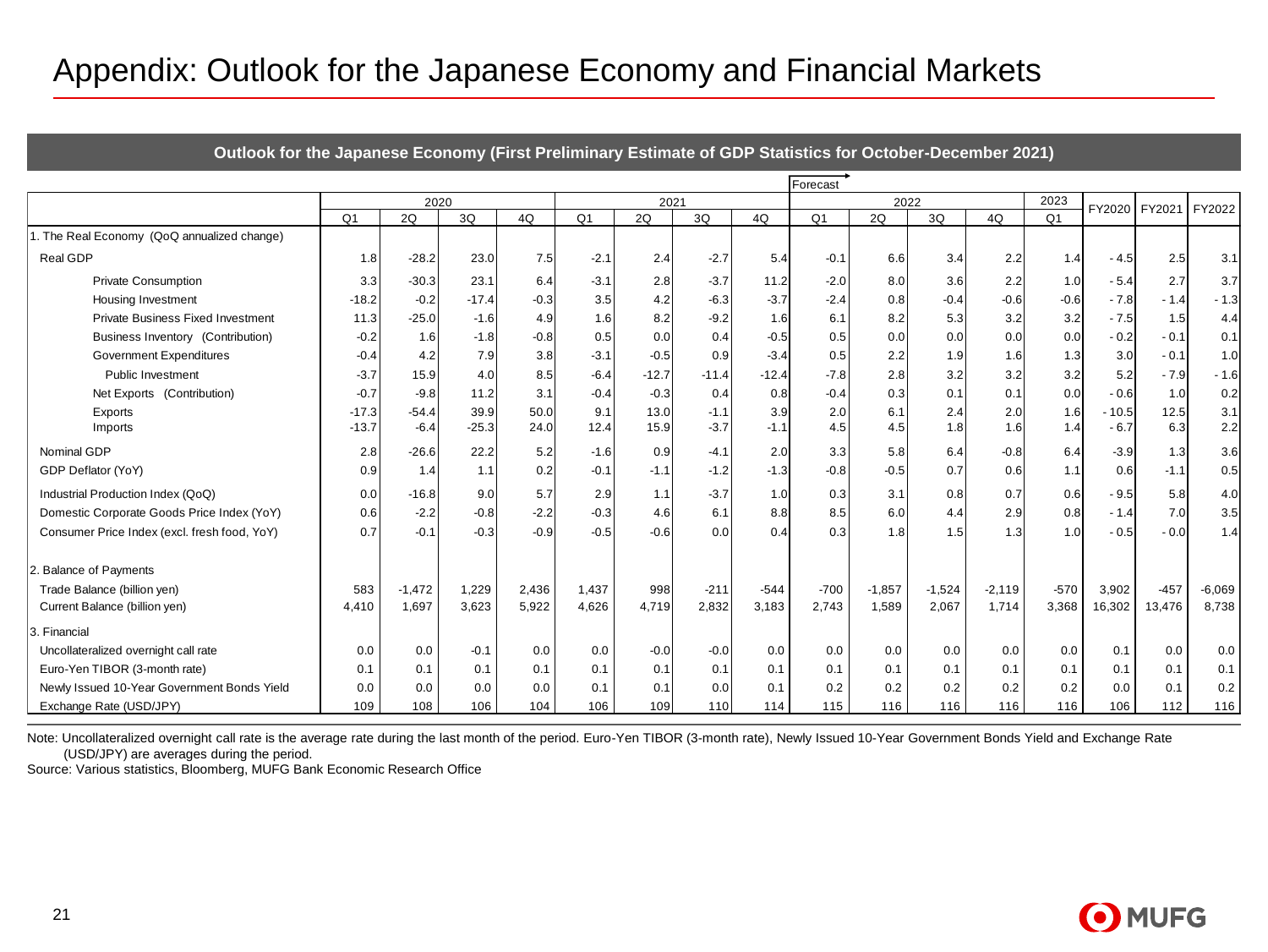#### Appendix: Outlook for the Japanese Economy and Financial Markets

| Appendix: Outlook for the Japanese Economy and Financial Markets |                                                                                                           |                   |                 |              |                |              |                  |               |                |            |            |            |                |                   |             |            |
|------------------------------------------------------------------|-----------------------------------------------------------------------------------------------------------|-------------------|-----------------|--------------|----------------|--------------|------------------|---------------|----------------|------------|------------|------------|----------------|-------------------|-------------|------------|
|                                                                  | Outlook for the Japanese Economy (First Preliminary Estimate of GDP Statistics for October-December 2021) |                   |                 |              |                |              |                  |               |                |            |            |            |                |                   |             |            |
|                                                                  |                                                                                                           |                   |                 |              |                |              |                  |               |                |            |            |            |                |                   |             |            |
|                                                                  |                                                                                                           | 2020              |                 |              |                | 2021         |                  |               | Forecast       | 2022       |            |            | 2023           |                   |             |            |
|                                                                  | O <sub>1</sub>                                                                                            | 2Q                | 3Q              | 4Q           | Q <sub>1</sub> | 2Q           | 3Q               | 4Q            | Q <sub>1</sub> | 2Q         | 3Q         | 4Q         | O <sub>1</sub> | FY2020            | FY2021      | FY2022     |
| . The Real Economy (QoQ annualized change)                       |                                                                                                           |                   |                 |              |                |              |                  |               |                |            |            |            |                |                   |             |            |
| Real GDP                                                         | 1.8                                                                                                       | $-28.2$           | 23.0            | 7.5          | $-2.1$         | 2.4          | $-2.7$           | 5.4           | $-0.1$         | 6.6        | 3.4        | 2.2        | 1.4            | $-4.5$            | 2.5         | 3.1        |
| <b>Private Consumption</b>                                       | 3.3                                                                                                       | $-30.3$           | 23.1            | 6.4          | $-3.1$         | 2.8          | $-3.7$           | 11.2          | $-2.0$         | 8.0        | 3.6        | 2.2        | 1.0            | $-5.4$            | 2.7         | 3.7        |
| <b>Housing Investment</b>                                        | $-18.2$                                                                                                   | $-0.2$            | $-17.4$         | $-0.3$       | 3.5            | 4.2          | $-6.3$           | $-3.7$        | $-2.4$         | 0.8        | $-0.4$     | $-0.6$     | $-0.6$         | $-7.8$            | - 1.4       | $-1.3$     |
| <b>Private Business Fixed Investment</b>                         | 11.3                                                                                                      | $-25.0$           | $-1.6$          | 4.9          | 1.6            | 8.2          | $-9.2$           | 1.6           | 6.1            | 8.2        | 5.3        | 3.2        | 3.2            | $-7.5$            | 1.5         | 4.4        |
| Business Inventory (Contribution)                                | $-0.2$                                                                                                    | 1.6               | $-1.8$          | $-0.8$       | 0.5            | 0.0          | 0.4              | $-0.5$        | 0.5            | 0.0        | 0.0        | 0.0        | 0.0            | $-0.2$            | $-0.1$      | 0.1        |
| <b>Government Expenditures</b>                                   | $-0.4$                                                                                                    | 4.2               | 7.9             | 3.8          | $-3.1$         | $-0.5$       | 0.9              | $-3.4$        | 0.5            | 2.2        | 1.9        | 1.6        | 1.3            | 3.0               | $-0.1$      | 1.0        |
| Public Investment                                                | $-3.7$                                                                                                    | 15.9              | 4.0             | 8.5          | $-6.4$         | $-12.7$      | $-11.4$          | $-12.4$       | $-7.8$         | 2.8        | 3.2        | 3.2        | 3.2            | 5.2               | $-7.9$      | $-1.6$     |
| Net Exports (Contribution)                                       | $-0.7$                                                                                                    | $-9.8$            | 11.2            | 3.1          | $-0.4$         | $-0.3$       | 0.4              | 0.8           | $-0.4$         | 0.3        | 0.1        | 0.1        | 0.0            | $-0.6$            | 1.0         | 0.2        |
| Exports<br>Imports                                               | $-17.3$<br>$-13.7$                                                                                        | $-54.4$<br>$-6.4$ | 39.9<br>$-25.3$ | 50.0<br>24.0 | 9.1<br>12.4    | 13.0<br>15.9 | $-1.1$<br>$-3.7$ | 3.9<br>$-1.1$ | 2.0<br>4.5     | 6.1<br>4.5 | 2.4<br>1.8 | 2.0<br>1.6 | 1.6<br>1.4     | $-10.5$<br>$-6.7$ | 12.5<br>6.3 | 3.1<br>2.2 |
| Nominal GDP                                                      | 2.8                                                                                                       | $-26.6$           | 22.2            | 5.2          | $-1.6$         | 0.9          | $-4.1$           | 2.0           | 3.3            | 5.8        | 6.4        | $-0.8$     | 6.4            | $-3.9$            | 1.3         | 3.6        |
| GDP Deflator (YoY)                                               | 0.9                                                                                                       | 1.4               | 1.1             | 0.2          | $-0.1$         | $-1.1$       | $-1.2$           | $-1.3$        | $-0.8$         | $-0.5$     | 0.7        | 0.6        | 1.1            | 0.6               | $-1.1$      | 0.5        |
| Industrial Production Index (QoQ)                                | 0.0                                                                                                       | $-16.8$           | 9.0             | 5.7          | 2.9            | 1.1          | $-3.7$           | 1.0           | 0.3            | 3.1        | 0.8        | 0.7        | 0.6            | $-9.5$            | 5.8         | 4.0        |
| Domestic Corporate Goods Price Index (YoY)                       | 0.6                                                                                                       | $-2.2$            | $-0.8$          | $-2.2$       | -0.3           | 4.6          | 6.1              | 8.8           | 8.5            | 6.0        | 4.4        | 2.9        | 0.8            | - 1.4             | 7.0         | 3.5        |
| Consumer Price Index (excl. fresh food, YoY)                     | 0.7                                                                                                       | $-0.1$            | $-0.3$          | $-0.9$       | $-0.5$         | $-0.6$       | 0.0              | 0.4           | 0.3            | 1.8        | 1.5        | 1.3        | 1.0            | $-0.5$            | $-0.0$      | 1.4        |
| 2. Balance of Payments                                           |                                                                                                           |                   |                 |              |                |              |                  |               |                |            |            |            |                |                   |             |            |
| Trade Balance (billion yen)                                      | 583                                                                                                       | $-1,472$          | 1,229           | 2,436        | 1.437          | 998          | $-211$           | $-544$        | $-700$         | $-1.857$   | $-1,524$   | $-2,119$   | $-570$         | 3.902             | $-457$      | $-6,069$   |
| Current Balance (billion yen)                                    | 4,410                                                                                                     | 1,697             | 3,623           | 5,922        | 4.626          | 4,719        | 2,832            | 3,183         | 2,743          | 1.589      | 2,067      | 1,714      | 3,368          | 16,302            | 13,476      | 8,738      |
| 3. Financial                                                     |                                                                                                           |                   |                 |              |                |              |                  |               |                |            |            |            |                |                   |             |            |
| Uncollateralized overnight call rate                             | 0.0                                                                                                       | 0.0               | $-0.1$          | 0.0          | 0.0            | $-0.0$       | $-0.0$           | 0.0           | 0.0            | 0.0        | 0.0        | 0.0        | 0.0            | 0.1               | 0.0         | 0.0        |
| Euro-Yen TIBOR (3-month rate)                                    | 0.1                                                                                                       | 0.1               | 0.1             | 0.1          | 0.1            | 0.1          | 0.1              | 0.1           | 0.1            | 0.1        | 0.1        | 0.1        | 0.1            | 0.1               | 0.1         | 0.1        |
| Newly Issued 10-Year Government Bonds Yield                      | 0.0                                                                                                       | 0.0               | 0.0             | 0.0          | 0.1            | 0.1          | 0.0              | 0.1           | 0.2            | 0.2        | 0.2        | 0.2        | 0.2            | 0.0               | 0.1         | 0.2        |
| Exchange Rate (USD/JPY)                                          | 109                                                                                                       | 108               | 106             | 104          | 106            | 109          | 110              | 114           | 115            | 116        | 116        | 116        | 116            | 106               | 112         | 116        |

Note: Uncollateralized overnight call rate is the average rate during the last month of the period. Euro-Yen TIBOR (3-month rate), Newly Issued 10-Year Government Bonds Yield and Exchange Rate (USD/JPY) are averages during the period.

Source: Various statistics, Bloomberg, MUFG Bank Economic Research Office

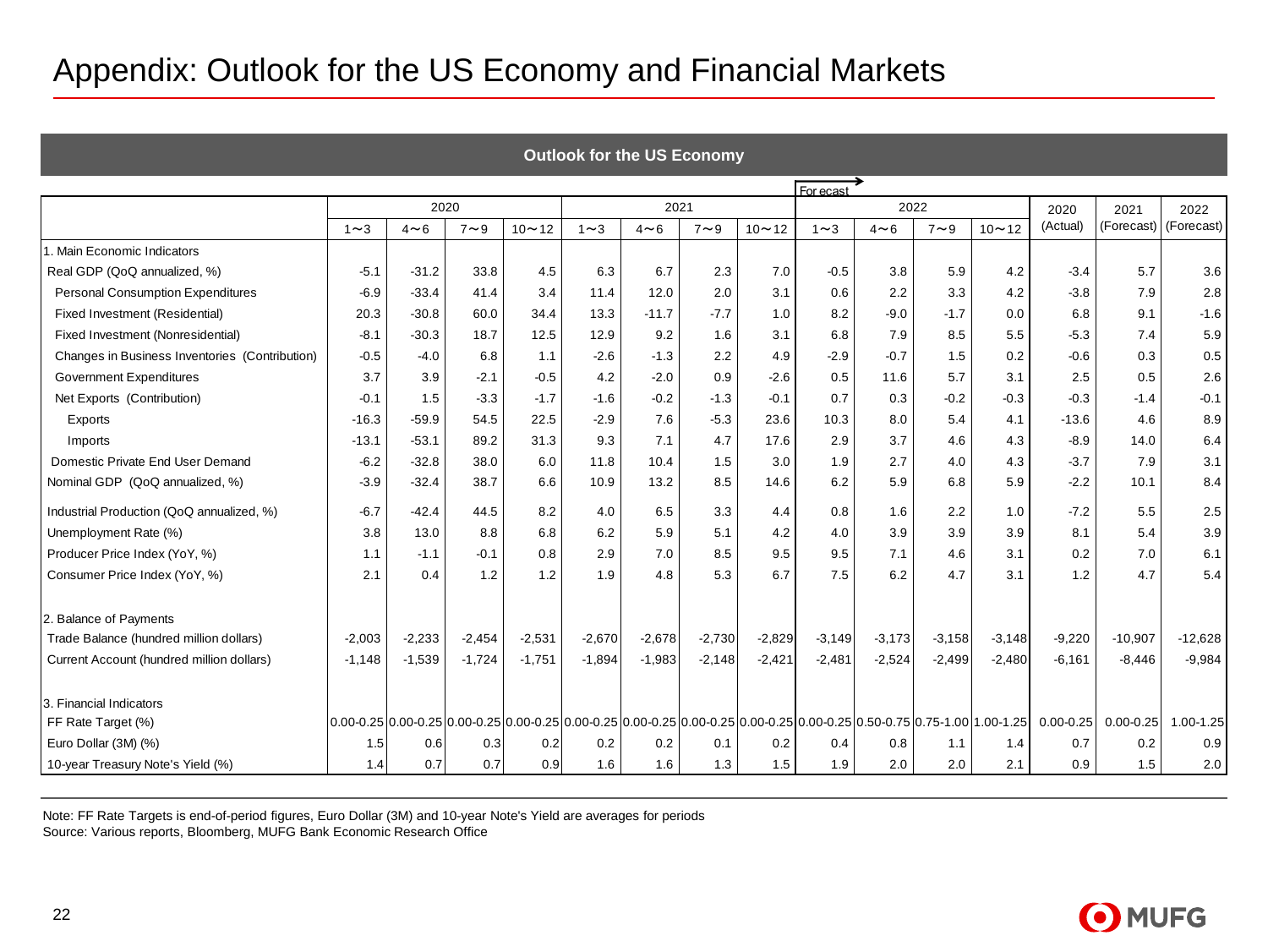| Appendix: Outlook for the US Economy and Financial Markets |            |            |            |           |            |                                   |            |           |            |            |            |                                                                                                                         |               |               |            |
|------------------------------------------------------------|------------|------------|------------|-----------|------------|-----------------------------------|------------|-----------|------------|------------|------------|-------------------------------------------------------------------------------------------------------------------------|---------------|---------------|------------|
|                                                            |            |            |            |           |            |                                   |            |           |            |            |            |                                                                                                                         |               |               |            |
|                                                            |            |            |            |           |            | <b>Outlook for the US Economy</b> |            |           |            |            |            |                                                                                                                         |               |               |            |
|                                                            |            |            |            |           |            |                                   |            |           | For ecast  |            |            |                                                                                                                         |               |               |            |
| 2020<br>2021<br>2022<br>2020<br>2021<br>2022               |            |            |            |           |            |                                   |            |           |            |            |            |                                                                                                                         |               |               |            |
|                                                            | $1 \sim 3$ | $4 \sim 6$ | $7 \sim 9$ | $10 - 12$ | $1 \sim 3$ | $4 \sim 6$                        | $7 \sim 9$ | $10 - 12$ | $1 \sim 3$ | $4 \sim 6$ | $7 \sim 9$ | $10 - 12$                                                                                                               | (Actual)      | (Forecast)    | (Forecast) |
| 1. Main Economic Indicators                                |            |            |            |           |            |                                   |            |           |            |            |            |                                                                                                                         |               |               |            |
| Real GDP (QoQ annualized, %)                               | $-5.1$     | $-31.2$    | 33.8       | 4.5       | 6.3        | 6.7                               | 2.3        | 7.0       | $-0.5$     | 3.8        | 5.9        | 4.2                                                                                                                     | $-3.4$        | 5.7           | 3.6        |
| Personal Consumption Expenditures                          | $-6.9$     | $-33.4$    | 41.4       | 3.4       | 11.4       | 12.0                              | 2.0        | 3.1       | 0.6        | 2.2        | 3.3        | 4.2                                                                                                                     | $-3.8$        | 7.9           | 2.8        |
| Fixed Investment (Residential)                             | 20.3       | $-30.8$    | 60.0       | 34.4      | 13.3       | $-11.7$                           | $-7.7$     | 1.0       | 8.2        | $-9.0$     | $-1.7$     | 0.0                                                                                                                     | 6.8           | 9.1           | $-1.6$     |
| Fixed Investment (Nonresidential)                          | $-8.1$     | $-30.3$    | 18.7       | 12.5      | 12.9       | 9.2                               | 1.6        | 3.1       | 6.8        | 7.9        | 8.5        | 5.5                                                                                                                     | $-5.3$        | 7.4           | 5.9        |
| Changes in Business Inventories (Contribution)             | $-0.5$     | $-4.0$     | 6.8        | 1.1       | $-2.6$     | $-1.3$                            | 2.2        | 4.9       | $-2.9$     | $-0.7$     | 1.5        | 0.2                                                                                                                     | $-0.6$        | 0.3           | 0.5        |
| Government Expenditures                                    | 3.7        | 3.9        | $-2.1$     | $-0.5$    | 4.2        | $-2.0$                            | 0.9        | $-2.6$    | 0.5        | 11.6       | 5.7        | 3.1                                                                                                                     | 2.5           | 0.5           | 2.6        |
| Net Exports (Contribution)                                 | $-0.1$     | 1.5        | $-3.3$     | $-1.7$    | $-1.6$     | $-0.2$                            | $-1.3$     | $-0.1$    | 0.7        | 0.3        | $-0.2$     | $-0.3$                                                                                                                  | $-0.3$        | $-1.4$        | $-0.1$     |
| Exports                                                    | $-16.3$    | $-59.9$    | 54.5       | 22.5      | $-2.9$     | 7.6                               | $-5.3$     | 23.6      | 10.3       | 8.0        | 5.4        | 4.1                                                                                                                     | $-13.6$       | 4.6           | 8.9        |
| Imports                                                    | $-13.1$    | $-53.1$    | 89.2       | 31.3      | 9.3        | 7.1                               | 4.7        | 17.6      | 2.9        | 3.7        | 4.6        | 4.3                                                                                                                     | $-8.9$        | 14.0          | 6.4        |
| Domestic Private End User Demand                           | $-6.2$     | $-32.8$    | 38.0       | 6.0       | 11.8       | 10.4                              | 1.5        | 3.0       | 1.9        | 2.7        | 4.0        | 4.3                                                                                                                     | $-3.7$        | 7.9           | 3.1        |
| Nominal GDP (QoQ annualized, %)                            | $-3.9$     | $-32.4$    | 38.7       | 6.6       | 10.9       | 13.2                              | 8.5        | 14.6      | 6.2        | 5.9        | 6.8        | 5.9                                                                                                                     | $-2.2$        | 10.1          | 8.4        |
| Industrial Production (QoQ annualized, %)                  | $-6.7$     | $-42.4$    | 44.5       | 8.2       | 4.0        | 6.5                               | 3.3        | 4.4       | 0.8        | 1.6        | 2.2        | 1.0                                                                                                                     | $-7.2$        | 5.5           | 2.5        |
| Unemployment Rate (%)                                      | 3.8        | 13.0       | 8.8        | 6.8       | 6.2        | 5.9                               | 5.1        | 4.2       | 4.0        | 3.9        | 3.9        | 3.9                                                                                                                     | 8.1           | 5.4           | 3.9        |
| Producer Price Index (YoY, %)                              | 1.1        | $-1.1$     | $-0.1$     | 0.8       | 2.9        | 7.0                               | 8.5        | 9.5       | 9.5        | 7.1        | 4.6        | 3.1                                                                                                                     | 0.2           | 7.0           | 6.1        |
| Consumer Price Index (YoY, %)                              | 2.1        | 0.4        | 1.2        | 1.2       | 1.9        | 4.8                               | 5.3        | 6.7       | 7.5        | 6.2        | 4.7        | 3.1                                                                                                                     | 1.2           | 4.7           | 5.4        |
| 2. Balance of Payments                                     |            |            |            |           |            |                                   |            |           |            |            |            |                                                                                                                         |               |               |            |
| Trade Balance (hundred million dollars)                    | $-2,003$   | $-2,233$   | $-2,454$   | $-2,531$  | $-2,670$   | $-2,678$                          | $-2,730$   | $-2,829$  | $-3,149$   | $-3,173$   | $-3,158$   | $-3,148$                                                                                                                | $-9,220$      | $-10,907$     | $-12,628$  |
| Current Account (hundred million dollars)                  | $-1,148$   | $-1,539$   | $-1,724$   | $-1,751$  | $-1,894$   | $-1,983$                          | $-2,148$   | $-2,421$  | $-2,481$   | $-2,524$   | $-2,499$   | $-2,480$                                                                                                                | $-6,161$      | $-8,446$      | $-9,984$   |
|                                                            |            |            |            |           |            |                                   |            |           |            |            |            |                                                                                                                         |               |               |            |
| 3. Financial Indicators                                    |            |            |            |           |            |                                   |            |           |            |            |            |                                                                                                                         |               |               |            |
| FF Rate Target (%)                                         |            |            |            |           |            |                                   |            |           |            |            |            | 0.00-0.25 0.00-0.25 0.00-0.25 0.00-0.25 0.00-0.25 0.00-0.25 0.00-0.25 0.00-0.25 0.00-0.25 0.50-0.75 0.75-1.00 1.00-1.25 | $0.00 - 0.25$ | $0.00 - 0.25$ | 1.00-1.25  |
| Euro Dollar (3M) (%)                                       | 1.5        | 0.6        | 0.3        | 0.2       | 0.2        | 0.2                               | 0.1        | 0.2       | 0.4        | 0.8        | 1.1        | 1.4                                                                                                                     | 0.7           | 0.2           | 0.9        |
| 10-year Treasury Note's Yield (%)                          | 1.4        | 0.7        | 0.7        | 0.9       | 1.6        | 1.6                               | 1.3        | 1.5       | 1.9        | 2.0        | 2.0        | 2.1                                                                                                                     | 0.9           | 1.5           | 2.0        |

Note: FF Rate Targets is end-of-period figures, Euro Dollar (3M) and 10-year Note's Yield are averages for periods

Source: Various reports, Bloomberg, MUFG Bank Economic Research Office

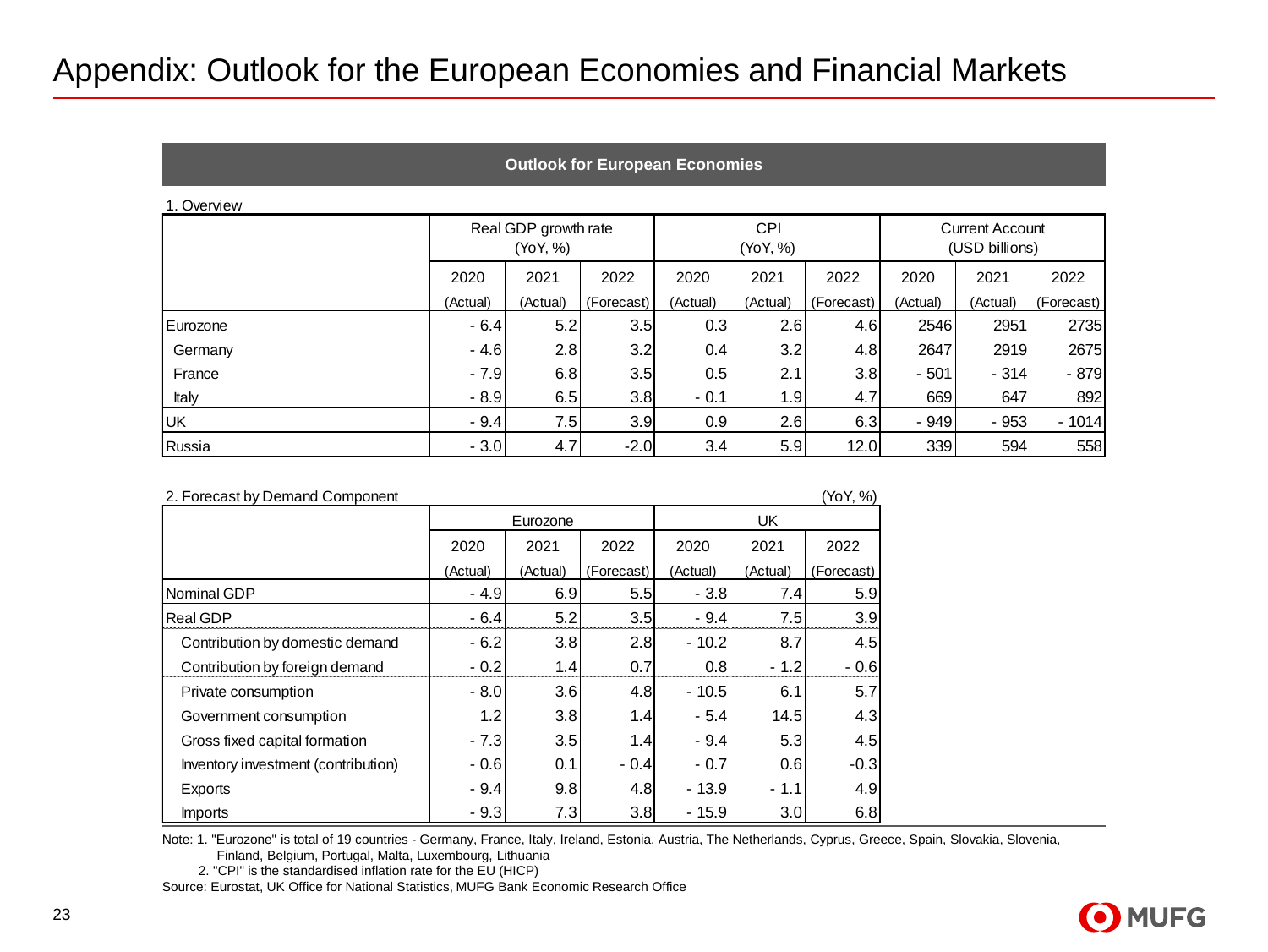#### Appendix: Outlook for the European Economies and Financial Markets

|  | <b>Outlook for European Economies</b> |
|--|---------------------------------------|
|--|---------------------------------------|

#### 1. Overview

|           |          | Real GDP growth rate<br>(YoY, %) |            |          | <b>CPI</b><br>(YoY, %) |            | <b>Current Account</b><br>(USD billions) |          |            |  |  |
|-----------|----------|----------------------------------|------------|----------|------------------------|------------|------------------------------------------|----------|------------|--|--|
|           | 2020     | 2021                             | 2022       | 2020     | 2021                   | 2022       | 2020                                     | 2021     | 2022       |  |  |
|           | (Actual) | (Actual)                         | (Forecast) | (Actual) | (Actual)               | (Forecast) | (Actual)                                 | (Actual) | (Forecast) |  |  |
| Eurozone  | $-6.4$   | 5.2                              | 3.5        | 0.3      | 2.6                    | 4.6        | 2546                                     | 2951     | 2735       |  |  |
| Germany   | $-4.6$   | 2.8                              | 3.2        | 0.41     | 3.2                    | 4.8        | 2647                                     | 2919     | 2675       |  |  |
| France    | $-7.9$   | 6.8                              | 3.5        | 0.5      | 2.1                    | 3.8        | $-501$                                   | $-314$   | $-879$     |  |  |
| Italy     | $-8.9$   | 6.5                              | 3.8        | $-0.1$   | 1.9                    | 4.7        | 669                                      | 647      | 892        |  |  |
| <b>UK</b> | $-9.4$   | 7.5                              | 3.9        | 0.9      | 2.6                    | 6.3        | $-949$                                   | $-953$   | $-1014$    |  |  |
| Russia    | $-3.0$   | 4.7                              | $-2.0$     | 3.4      | 5.9                    | 12.0       | 339                                      | 594      | 558        |  |  |

| 2. Forecast by Demand Component     |          |          |            |          |          | (YoY, %)   |
|-------------------------------------|----------|----------|------------|----------|----------|------------|
|                                     | Eurozone |          |            | UK       |          |            |
|                                     | 2020     | 2021     | 2022       | 2020     | 2021     | 2022       |
|                                     | (Actual) | (Actual) | (Forecast) | (Actual) | (Actual) | (Forecast) |
| Nominal GDP                         | $-4.9$   | 6.9      | 5.5        | $-3.8$   | 7.4      | 5.9        |
| <b>Real GDP</b>                     | $-6.4$   | 5.2      | 3.5        | $-9.4$   | 7.5      | 3.9        |
| Contribution by domestic demand     | $-6.2$   | 3.8      | 2.8        | $-10.2$  | 8.7      | 4.5        |
| Contribution by foreign demand      | $-0.2$   | 1.4      | 0.7        | 0.8      | $-1.2$   | $-0.6$     |
| Private consumption                 | $-8.0$   | 3.6      | 4.8        | $-10.5$  | 6.1      | 5.7        |
| Government consumption              | 1.2      | 3.8      | 1.4        | $-5.4$   | 14.5     | 4.3        |
| Gross fixed capital formation       | $-7.3$   | 3.5      | 1.4        | $-9.4$   | 5.3      | 4.5        |
| Inventory investment (contribution) | $-0.6$   | 0.1      | $-0.4$     | $-0.7$   | 0.6      | $-0.3$     |
| Exports                             | $-9.4$   | 9.8      | 4.8        | $-13.9$  | $-1.1$   | 4.9        |
| <b>Imports</b>                      | $-9.3$   | 7.3      | 3.8        | $-15.9$  | 3.0      | 6.8        |

Note: 1. "Eurozone" is total of 19 countries - Germany, France, Italy, Ireland, Estonia, Austria, The Netherlands, Cyprus, Greece, Spain, Slovakia, Slovenia,

Finland, Belgium, Portugal, Malta, Luxembourg, Lithuania

2. "CPI" is the standardised inflation rate for the EU (HICP)

Source: Eurostat, UK Office for National Statistics, MUFG Bank Economic Research Office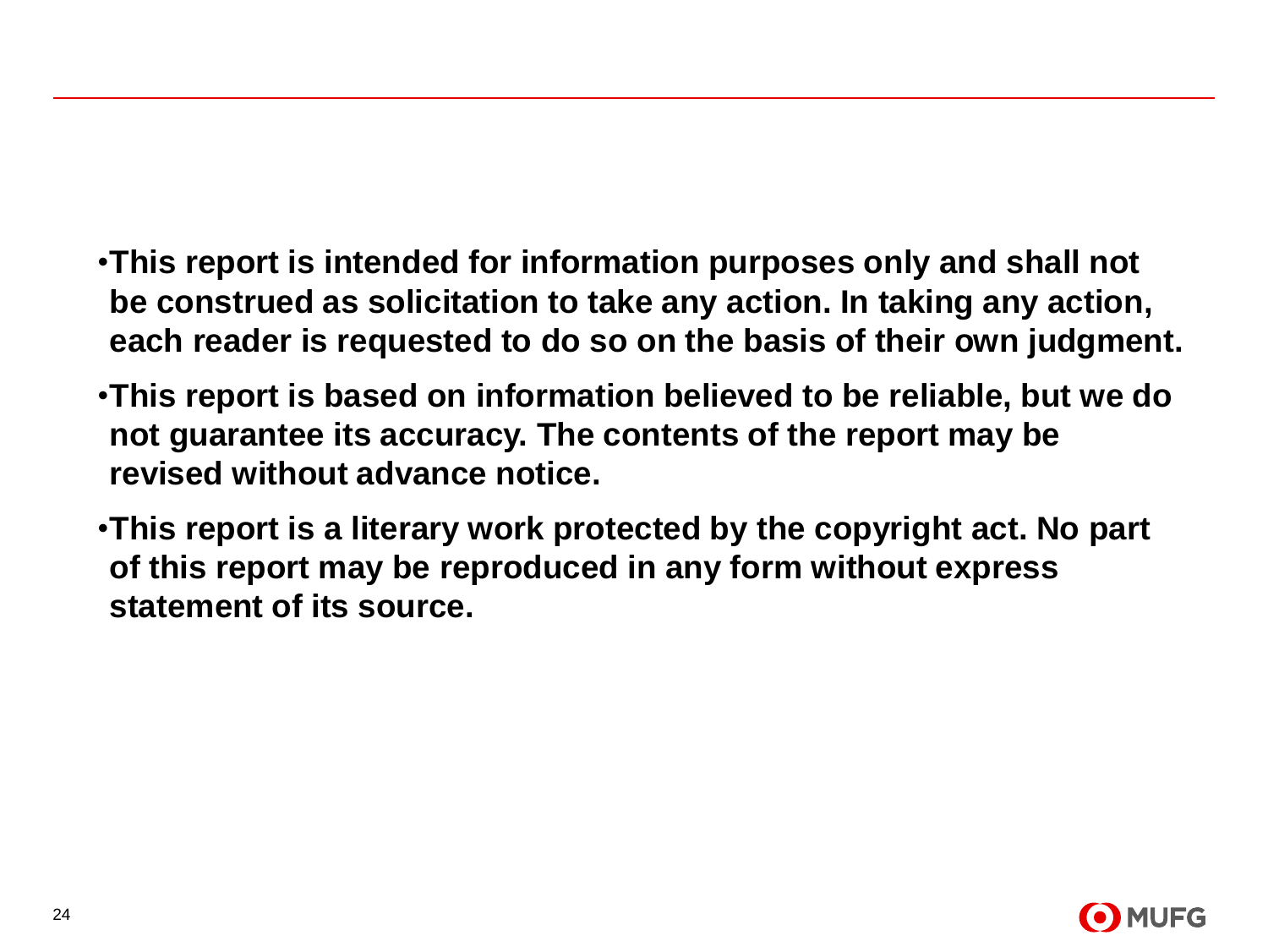- •**This report is intended for information purposes only and shall not be construed as solicitation to take any action. In taking any action, each reader is requested to do so on the basis of their own judgment.**
- •**This report is based on information believed to be reliable, but we do not guarantee its accuracy. The contents of the report may be revised without advance notice.**
- •**This report is a literary work protected by the copyright act. No part of this report may be reproduced in any form without express statement of its source.**